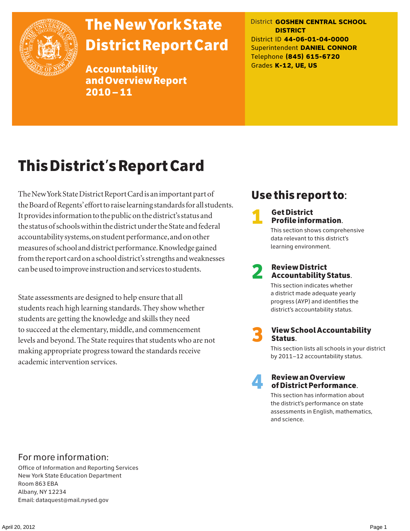

## The New York State District Report Card

Accountability and Overview Report 2010–11

District **GOSHEN CENTRAL SCHOOL DISTRICT** District ID **44-06-01-04-0000** Superintendent **DANIEL CONNOR** Telephone **(845) 615-6720** Grades **K-12, UE, US**

## This District's Report Card

The New York State District Report Card is an important part of the Board of Regents' effort to raise learning standards for all students. It provides information to the public on the district's status and the status of schools within the district under the State and federal accountability systems, on student performance, and on other measures of school and district performance. Knowledge gained from the report card on a school district's strengths and weaknesses can be used to improve instruction and services to students.

State assessments are designed to help ensure that all students reach high learning standards. They show whether students are getting the knowledge and skills they need to succeed at the elementary, middle, and commencement levels and beyond. The State requires that students who are not making appropriate progress toward the standards receive academic intervention services.

### Use this report to:

**1** Get District<br>Profile information.

This section shows comprehensive data relevant to this district's learning environment.

# 2 Review District Accountability Status.

This section indicates whether a district made adequate yearly progress (AYP) and identifies the district's accountability status.

3 View School Accountability Status.

This section lists all schools in your district by 2011–12 accountability status.



### 4 Review an Overview of District Performance.

This section has information about the district's performance on state assessments in English, mathematics, and science.

### For more information:

Office of Information and Reporting Services New York State Education Department Room 863 EBA Albany, NY 12234 Email: dataquest@mail.nysed.gov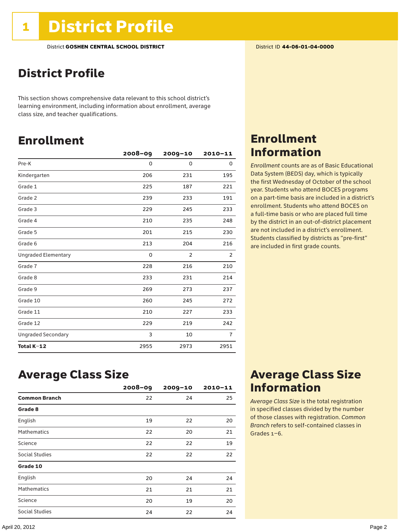### District Profile

This section shows comprehensive data relevant to this school district's learning environment, including information about enrollment, average class size, and teacher qualifications.

### Enrollment

|                            | $2008 - 09$ | 2009-10        | $2010 - 11$    |
|----------------------------|-------------|----------------|----------------|
| Pre-K                      | 0           | 0              | 0              |
| Kindergarten               | 206         | 231            | 195            |
| Grade 1                    | 225         | 187            | 221            |
| Grade 2                    | 239         | 233            | 191            |
| Grade 3                    | 229         | 245            | 233            |
| Grade 4                    | 210         | 235            | 248            |
| Grade 5                    | 201         | 215            | 230            |
| Grade 6                    | 213         | 204            | 216            |
| <b>Ungraded Elementary</b> | 0           | $\overline{2}$ | 2              |
| Grade 7                    | 228         | 216            | 210            |
| Grade 8                    | 233         | 231            | 214            |
| Grade 9                    | 269         | 273            | 237            |
| Grade 10                   | 260         | 245            | 272            |
| Grade 11                   | 210         | 227            | 233            |
| Grade 12                   | 229         | 219            | 242            |
| <b>Ungraded Secondary</b>  | 3           | 10             | $\overline{7}$ |
| Total K-12                 | 2955        | 2973           | 2951           |

### Enrollment Information

*Enrollment* counts are as of Basic Educational Data System (BEDS) day, which is typically the first Wednesday of October of the school year. Students who attend BOCES programs on a part-time basis are included in a district's enrollment. Students who attend BOCES on a full-time basis or who are placed full time by the district in an out-of-district placement are not included in a district's enrollment. Students classified by districts as "pre-first" are included in first grade counts.

### Average Class Size

|                      | $2008 - 09$ | $2009 - 10$ | $2010 - 11$ |
|----------------------|-------------|-------------|-------------|
| <b>Common Branch</b> | 22          | 24          | 25          |
| Grade 8              |             |             |             |
| English              | 19          | 22          | 20          |
| <b>Mathematics</b>   | 22          | 20          | 21          |
| Science              | 22          | 22          | 19          |
| Social Studies       | 22          | 22          | 22          |
| Grade 10             |             |             |             |
| English              | 20          | 24          | 24          |
| <b>Mathematics</b>   | 21          | 21          | 21          |
| Science              | 20          | 19          | 20          |
| Social Studies       | 24          | 22          | 24          |

### Average Class Size Information

*Average Class Size* is the total registration in specified classes divided by the number of those classes with registration. *Common Branch* refers to self-contained classes in Grades 1–6.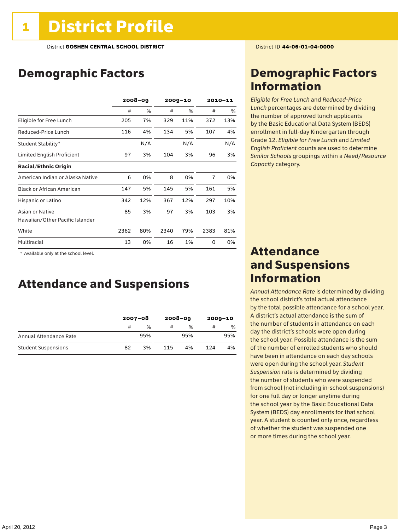### Demographic Factors

|                                  | $2008 - 09$ |     |      | $2009 - 10$ |                | 2010-11 |  |
|----------------------------------|-------------|-----|------|-------------|----------------|---------|--|
|                                  | #           | %   | #    | $\%$        | #              | %       |  |
| Eligible for Free Lunch          | 205         | 7%  | 329  | 11%         | 372            | 13%     |  |
| Reduced-Price Lunch              | 116         | 4%  | 134  | 5%          | 107            | 4%      |  |
| Student Stability*               |             | N/A |      | N/A         |                | N/A     |  |
| Limited English Proficient       | 97          | 3%  | 104  | 3%          | 96             | 3%      |  |
| <b>Racial/Ethnic Origin</b>      |             |     |      |             |                |         |  |
| American Indian or Alaska Native | 6           | 0%  | 8    | 0%          | $\overline{7}$ | 0%      |  |
| <b>Black or African American</b> | 147         | 5%  | 145  | 5%          | 161            | 5%      |  |
| Hispanic or Latino               | 342         | 12% | 367  | 12%         | 297            | 10%     |  |
| Asian or Native                  | 85          | 3%  | 97   | 3%          | 103            | 3%      |  |
| Hawaiian/Other Pacific Islander  |             |     |      |             |                |         |  |
| White                            | 2362        | 80% | 2340 | 79%         | 2383           | 81%     |  |
| Multiracial                      | 13          | 0%  | 16   | 1%          | 0              | 0%      |  |

 \* Available only at the school level.

### Attendance and Suspensions

|                            |    | $2007 - 08$   |     | $2008 - 09$   | $2009 - 10$ |               |
|----------------------------|----|---------------|-----|---------------|-------------|---------------|
|                            | #  | $\frac{0}{0}$ |     | $\frac{0}{0}$ | #           | $\frac{0}{0}$ |
| Annual Attendance Rate     |    | 95%           |     | 95%           |             | 95%           |
| <b>Student Suspensions</b> | 82 | 3%            | 115 | 4%            | 124         | 4%            |

### Demographic Factors Information

*Eligible for Free Lunch* and *Reduced*-*Price Lunch* percentages are determined by dividing the number of approved lunch applicants by the Basic Educational Data System (BEDS) enrollment in full-day Kindergarten through Grade 12. *Eligible for Free Lunch* and *Limited English Proficient* counts are used to determine *Similar Schools* groupings within a *Need*/*Resource Capacity* category.

### Attendance and Suspensions Information

*Annual Attendance Rate* is determined by dividing the school district's total actual attendance by the total possible attendance for a school year. A district's actual attendance is the sum of the number of students in attendance on each day the district's schools were open during the school year. Possible attendance is the sum of the number of enrolled students who should have been in attendance on each day schools were open during the school year. *Student Suspension* rate is determined by dividing the number of students who were suspended from school (not including in-school suspensions) for one full day or longer anytime during the school year by the Basic Educational Data System (BEDS) day enrollments for that school year. A student is counted only once, regardless of whether the student was suspended one or more times during the school year.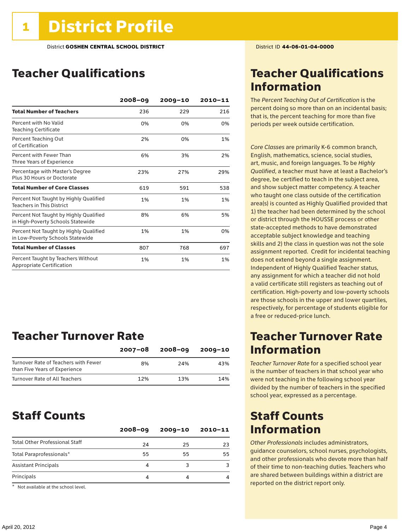### Teacher Qualifications

|                                                                             | $2008 - 09$ | $2009 - 10$ | 2010-11 |
|-----------------------------------------------------------------------------|-------------|-------------|---------|
| <b>Total Number of Teachers</b>                                             | 236         | 229         | 216     |
| Percent with No Valid<br><b>Teaching Certificate</b>                        | 0%          | 0%          | 0%      |
| Percent Teaching Out<br>of Certification                                    | 2%          | 0%          | 1%      |
| Percent with Fewer Than<br>Three Years of Experience                        | 6%          | 3%          | 2%      |
| Percentage with Master's Degree<br>Plus 30 Hours or Doctorate               | 23%         | 27%         | 29%     |
| <b>Total Number of Core Classes</b>                                         | 619         | 591         | 538     |
| Percent Not Taught by Highly Qualified<br><b>Teachers in This District</b>  | 1%          | 1%          | 1%      |
| Percent Not Taught by Highly Qualified<br>in High-Poverty Schools Statewide | 8%          | 6%          | 5%      |
| Percent Not Taught by Highly Qualified<br>in Low-Poverty Schools Statewide  | 1%          | 1%          | 0%      |
| <b>Total Number of Classes</b>                                              | 807         | 768         | 697     |
| Percent Taught by Teachers Without<br>Appropriate Certification             | 1%          | 1%          | 1%      |

### Teacher Turnover Rate

|                                                                       | $2007 - 08$ | $2008 - 09$ | 2009-10 |
|-----------------------------------------------------------------------|-------------|-------------|---------|
| Turnover Rate of Teachers with Fewer<br>than Five Years of Experience | 8%          | 24%         | 43%     |
| Turnover Rate of All Teachers                                         | 12%         | 13%         | 14%     |

### Staff Counts

|                                       | $2008 - 09$ | $2009 - 10$ | $2010 - 11$ |
|---------------------------------------|-------------|-------------|-------------|
| <b>Total Other Professional Staff</b> | 24          | 25          | 23          |
| Total Paraprofessionals*              | 55          | 55          | 55          |
| <b>Assistant Principals</b>           | 4           |             |             |
| Principals                            | 4           |             |             |

\* Not available at the school level.

### Teacher Qualifications Information

The *Percent Teaching Out of Certification* is the percent doing so more than on an incidental basis; that is, the percent teaching for more than five periods per week outside certification.

*Core Classes* are primarily K-6 common branch, English, mathematics, science, social studies, art, music, and foreign languages. To be *Highly Qualified*, a teacher must have at least a Bachelor's degree, be certified to teach in the subject area, and show subject matter competency. A teacher who taught one class outside of the certification area(s) is counted as Highly Qualified provided that 1) the teacher had been determined by the school or district through the HOUSSE process or other state-accepted methods to have demonstrated acceptable subject knowledge and teaching skills and 2) the class in question was not the sole assignment reported. Credit for incidental teaching does not extend beyond a single assignment. Independent of Highly Qualified Teacher status, any assignment for which a teacher did not hold a valid certificate still registers as teaching out of certification. High-poverty and low-poverty schools are those schools in the upper and lower quartiles, respectively, for percentage of students eligible for a free or reduced-price lunch.

### Teacher Turnover Rate Information

*Teacher Turnover Rate* for a specified school year is the number of teachers in that school year who were not teaching in the following school year divided by the number of teachers in the specified school year, expressed as a percentage.

### Staff Counts Information

*Other Professionals* includes administrators, guidance counselors, school nurses, psychologists, and other professionals who devote more than half of their time to non-teaching duties. Teachers who are shared between buildings within a district are reported on the district report only.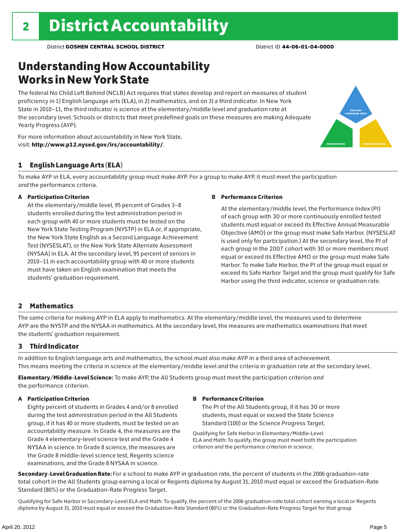### Understanding How Accountability Works in New York State

The federal No Child Left Behind (NCLB) Act requires that states develop and report on measures of student proficiency in 1) English language arts (ELA), in 2) mathematics, and on 3) a third indicator. In New York State in 2010–11, the third indicator is science at the elementary/middle level and graduation rate at the secondary level. Schools or districts that meet predefined goals on these measures are making Adequate Yearly Progress (AYP).





#### 1 English Language Arts (ELA)

To make AYP in ELA, every accountability group must make AYP. For a group to make AYP, it must meet the participation *and* the performance criteria.

#### A Participation Criterion

At the elementary/middle level, 95 percent of Grades 3–8 students enrolled during the test administration period in each group with 40 or more students must be tested on the New York State Testing Program (NYSTP) in ELA or, if appropriate, the New York State English as a Second Language Achievement Test (NYSESLAT), or the New York State Alternate Assessment (NYSAA) in ELA. At the secondary level, 95 percent of seniors in 2010–11 in each accountability group with 40 or more students must have taken an English examination that meets the students' graduation requirement.

#### B Performance Criterion

At the elementary/middle level, the Performance Index (PI) of each group with 30 or more continuously enrolled tested students must equal or exceed its Effective Annual Measurable Objective (AMO) or the group must make Safe Harbor. (NYSESLAT is used only for participation.) At the secondary level, the PI of each group in the 2007 cohort with 30 or more members must equal or exceed its Effective AMO or the group must make Safe Harbor. To make Safe Harbor, the PI of the group must equal or exceed its Safe Harbor Target and the group must qualify for Safe Harbor using the third indicator, science or graduation rate.

#### 2 Mathematics

The same criteria for making AYP in ELA apply to mathematics. At the elementary/middle level, the measures used to determine AYP are the NYSTP and the NYSAA in mathematics. At the secondary level, the measures are mathematics examinations that meet the students' graduation requirement.

#### 3 Third Indicator

In addition to English language arts and mathematics, the school must also make AYP in a third area of achievement. This means meeting the criteria in science at the elementary/middle level and the criteria in graduation rate at the secondary level.

Elementary/Middle-Level Science: To make AYP, the All Students group must meet the participation criterion *and* the performance criterion.

#### A Participation Criterion

Eighty percent of students in Grades 4 and/or 8 enrolled during the test administration period in the All Students group, if it has 40 or more students, must be tested on an accountability measure. In Grade 4, the measures are the Grade 4 elementary-level science test and the Grade 4 NYSAA in science. In Grade 8 science, the measures are the Grade 8 middle-level science test, Regents science examinations, and the Grade 8 NYSAA in science.

#### B Performance Criterion

The PI of the All Students group, if it has 30 or more students, must equal or exceed the State Science Standard (100) or the Science Progress Target.

Qualifying for Safe Harbor in Elementary/Middle-Level ELA and Math: To qualify, the group must meet both the participation criterion and the performance criterion in science.

Secondary-Level Graduation Rate: For a school to make AYP in graduation rate, the percent of students in the 2006 graduation-rate total cohort in the All Students group earning a local or Regents diploma by August 31, 2010 must equal or exceed the Graduation-Rate Standard (80%) or the Graduation-Rate Progress Target.

Qualifying for Safe Harbor in Secondary-Level ELA and Math: To qualify, the percent of the 2006 graduation-rate total cohort earning a local or Regents diploma by August 31, 2010 must equal or exceed the Graduation-Rate Standard (80%) or the Graduation-Rate Progress Target for that group.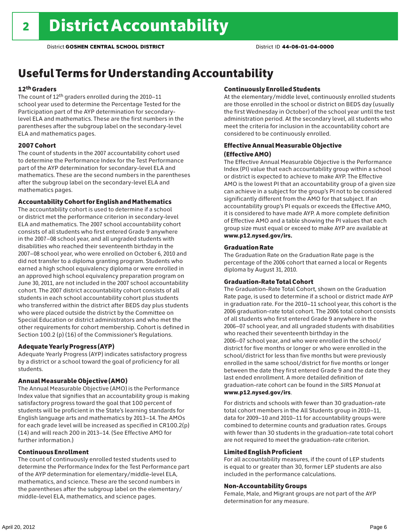### Useful Terms for Understanding Accountability

#### 12th Graders

The count of 12th graders enrolled during the 2010–11 school year used to determine the Percentage Tested for the Participation part of the AYP determination for secondarylevel ELA and mathematics. These are the first numbers in the parentheses after the subgroup label on the secondary-level ELA and mathematics pages.

#### 2007 Cohort

The count of students in the 2007 accountability cohort used to determine the Performance Index for the Test Performance part of the AYP determination for secondary-level ELA and mathematics. These are the second numbers in the parentheses after the subgroup label on the secondary-level ELA and mathematics pages.

#### Accountability Cohort for English and Mathematics

The accountability cohort is used to determine if a school or district met the performance criterion in secondary-level ELA and mathematics. The 2007 school accountability cohort consists of all students who first entered Grade 9 anywhere in the 2007–08 school year, and all ungraded students with disabilities who reached their seventeenth birthday in the 2007–08 school year, who were enrolled on October 6, 2010 and did not transfer to a diploma granting program. Students who earned a high school equivalency diploma or were enrolled in an approved high school equivalency preparation program on June 30, 2011, are not included in the 2007 school accountability cohort. The 2007 district accountability cohort consists of all students in each school accountability cohort plus students who transferred within the district after BEDS day plus students who were placed outside the district by the Committee on Special Education or district administrators and who met the other requirements for cohort membership. Cohort is defined in Section 100.2 (p) (16) of the Commissioner's Regulations.

#### Adequate Yearly Progress (AYP)

Adequate Yearly Progress (AYP) indicates satisfactory progress by a district or a school toward the goal of proficiency for all students.

#### Annual Measurable Objective (AMO)

The Annual Measurable Objective (AMO) is the Performance Index value that signifies that an accountability group is making satisfactory progress toward the goal that 100 percent of students will be proficient in the State's learning standards for English language arts and mathematics by 2013–14. The AMOs for each grade level will be increased as specified in CR100.2(p) (14) and will reach 200 in 2013–14. (See Effective AMO for further information.)

#### Continuous Enrollment

The count of continuously enrolled tested students used to determine the Performance Index for the Test Performance part of the AYP determination for elementary/middle-level ELA, mathematics, and science. These are the second numbers in the parentheses after the subgroup label on the elementary/ middle-level ELA, mathematics, and science pages.

#### Continuously Enrolled Students

At the elementary/middle level, continuously enrolled students are those enrolled in the school or district on BEDS day (usually the first Wednesday in October) of the school year until the test administration period. At the secondary level, all students who meet the criteria for inclusion in the accountability cohort are considered to be continuously enrolled.

#### Effective Annual Measurable Objective (Effective AMO)

The Effective Annual Measurable Objective is the Performance Index (PI) value that each accountability group within a school or district is expected to achieve to make AYP. The Effective AMO is the lowest PI that an accountability group of a given size can achieve in a subject for the group's PI not to be considered significantly different from the AMO for that subject. If an accountability group's PI equals or exceeds the Effective AMO, it is considered to have made AYP. A more complete definition of Effective AMO and a table showing the PI values that each group size must equal or exceed to make AYP are available at www.p12.nysed.gov/irs.

#### Graduation Rate

The Graduation Rate on the Graduation Rate page is the percentage of the 2006 cohort that earned a local or Regents diploma by August 31, 2010.

#### Graduation-Rate Total Cohort

The Graduation-Rate Total Cohort, shown on the Graduation Rate page, is used to determine if a school or district made AYP in graduation rate. For the 2010–11 school year, this cohort is the 2006 graduation-rate total cohort. The 2006 total cohort consists of all students who first entered Grade 9 anywhere in the 2006–07 school year, and all ungraded students with disabilities who reached their seventeenth birthday in the 2006–07 school year, and who were enrolled in the school/ district for five months or longer or who were enrolled in the school/district for less than five months but were previously enrolled in the same school/district for five months or longer between the date they first entered Grade 9 and the date they last ended enrollment. A more detailed definition of graduation-rate cohort can be found in the *SIRS Manual* at www.p12.nysed.gov/irs.

For districts and schools with fewer than 30 graduation-rate total cohort members in the All Students group in 2010–11, data for 2009–10 and 2010–11 for accountability groups were combined to determine counts and graduation rates. Groups with fewer than 30 students in the graduation-rate total cohort are not required to meet the graduation-rate criterion.

#### Limited English Proficient

For all accountability measures, if the count of LEP students is equal to or greater than 30, former LEP students are also included in the performance calculations.

#### Non-Accountability Groups

Female, Male, and Migrant groups are not part of the AYP determination for any measure.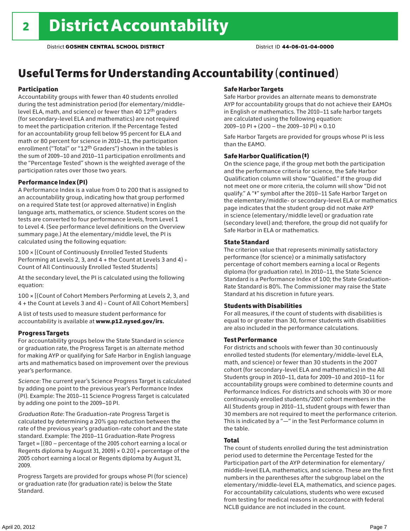### Useful Terms for Understanding Accountability (continued)

#### Participation

Accountability groups with fewer than 40 students enrolled during the test administration period (for elementary/middlelevel ELA, math, and science) or fewer than 40 12th graders (for secondary-level ELA and mathematics) are not required to meet the participation criterion. If the Percentage Tested for an accountability group fell below 95 percent for ELA and math or 80 percent for science in 2010–11, the participation enrollment ("Total" or "12th Graders") shown in the tables is the sum of 2009–10 and 2010–11 participation enrollments and the "Percentage Tested" shown is the weighted average of the participation rates over those two years.

#### Performance Index (PI)

A Performance Index is a value from 0 to 200 that is assigned to an accountability group, indicating how that group performed on a required State test (or approved alternative) in English language arts, mathematics, or science. Student scores on the tests are converted to four performance levels, from Level 1 to Level 4. (See performance level definitions on the Overview summary page.) At the elementary/middle level, the PI is calculated using the following equation:

100 × [(Count of Continuously Enrolled Tested Students Performing at Levels 2, 3, and 4 + the Count at Levels 3 and 4) Count of All Continuously Enrolled Tested Students]

At the secondary level, the PI is calculated using the following equation:

100 × [(Count of Cohort Members Performing at Levels 2, 3, and 4 + the Count at Levels 3 and 4) Count of All Cohort Members]

A list of tests used to measure student performance for accountability is available at www.p12.nysed.gov/irs.

#### Progress Targets

For accountability groups below the State Standard in science or graduation rate, the Progress Target is an alternate method for making AYP or qualifying for Safe Harbor in English language arts and mathematics based on improvement over the previous year's performance.

*Science:* The current year's Science Progress Target is calculated by adding one point to the previous year's Performance Index (PI). Example: The 2010–11 Science Progress Target is calculated by adding one point to the 2009–10 PI.

*Graduation Rate:* The Graduation-rate Progress Target is calculated by determining a 20% gap reduction between the rate of the previous year's graduation-rate cohort and the state standard. Example: The 2010–11 Graduation-Rate Progress Target = [(80 – percentage of the 2005 cohort earning a local or Regents diploma by August 31, 2009)  $\times$  0.20] + percentage of the 2005 cohort earning a local or Regents diploma by August 31, 2009.

Progress Targets are provided for groups whose PI (for science) or graduation rate (for graduation rate) is below the State Standard.

#### Safe Harbor Targets

Safe Harbor provides an alternate means to demonstrate AYP for accountability groups that do not achieve their EAMOs in English or mathematics. The 2010–11 safe harbor targets are calculated using the following equation: 2009–10 PI + (200 – the 2009–10 PI) × 0.10

Safe Harbor Targets are provided for groups whose PI is less than the EAMO.

#### Safe Harbor Qualification (‡)

On the science page, if the group met both the participation and the performance criteria for science, the Safe Harbor Qualification column will show "Qualified." If the group did not meet one or more criteria, the column will show "Did not qualify." A "‡" symbol after the 2010–11 Safe Harbor Target on the elementary/middle- or secondary-level ELA or mathematics page indicates that the student group did not make AYP in science (elementary/middle level) or graduation rate (secondary level) and; therefore, the group did not qualify for Safe Harbor in ELA or mathematics.

#### State Standard

The criterion value that represents minimally satisfactory performance (for science) or a minimally satisfactory percentage of cohort members earning a local or Regents diploma (for graduation rate). In 2010–11, the State Science Standard is a Performance Index of 100; the State Graduation-Rate Standard is 80%. The Commissioner may raise the State Standard at his discretion in future years.

#### Students with Disabilities

For all measures, if the count of students with disabilities is equal to or greater than 30, former students with disabilities are also included in the performance calculations.

#### Test Performance

For districts and schools with fewer than 30 continuously enrolled tested students (for elementary/middle-level ELA, math, and science) or fewer than 30 students in the 2007 cohort (for secondary-level ELA and mathematics) in the All Students group in 2010–11, data for 2009–10 and 2010–11 for accountability groups were combined to determine counts and Performance Indices. For districts and schools with 30 or more continuously enrolled students/2007 cohort members in the All Students group in 2010–11, student groups with fewer than 30 members are not required to meet the performance criterion. This is indicated by a "—" in the Test Performance column in the table.

#### Total

The count of students enrolled during the test administration period used to determine the Percentage Tested for the Participation part of the AYP determination for elementary/ middle-level ELA, mathematics, and science. These are the first numbers in the parentheses after the subgroup label on the elementary/middle-level ELA, mathematics, and science pages. For accountability calculations, students who were excused from testing for medical reasons in accordance with federal NCLB guidance are not included in the count.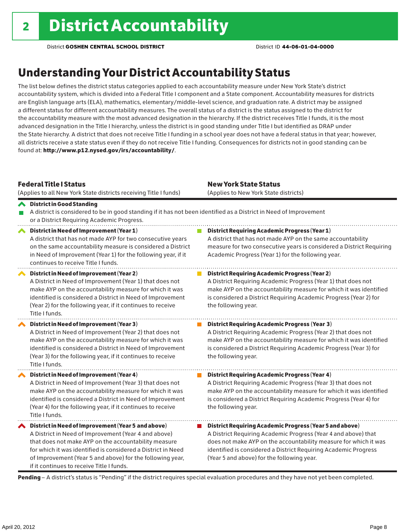### Understanding Your District Accountability Status

The list below defines the district status categories applied to each accountability measure under New York State's district accountability system, which is divided into a Federal Title I component and a State component. Accountability measures for districts are English language arts (ELA), mathematics, elementary/middle-level science, and graduation rate. A district may be assigned a different status for different accountability measures. The overall status of a district is the status assigned to the district for the accountability measure with the most advanced designation in the hierarchy. If the district receives Title I funds, it is the most advanced designation in the Title I hierarchy, unless the district is in good standing under Title I but identified as DRAP under the State hierarchy. A district that does not receive Title I funding in a school year does not have a federal status in that year; however, all districts receive a state status even if they do not receive Title I funding. Consequences for districts not in good standing can be found at: http://www.p12.nysed.gov/irs/accountability/.

| <b>Federal Title I Status</b><br>(Applies to all New York State districts receiving Title I funds)                                                                                                                                                                                                                                             | <b>New York State Status</b><br>(Applies to New York State districts)                                                                                                                                                                                                                                          |  |  |  |  |
|------------------------------------------------------------------------------------------------------------------------------------------------------------------------------------------------------------------------------------------------------------------------------------------------------------------------------------------------|----------------------------------------------------------------------------------------------------------------------------------------------------------------------------------------------------------------------------------------------------------------------------------------------------------------|--|--|--|--|
| <b>◆</b> District in Good Standing<br>A district is considered to be in good standing if it has not been identified as a District in Need of Improvement<br>or a District Requiring Academic Progress.                                                                                                                                         |                                                                                                                                                                                                                                                                                                                |  |  |  |  |
| District in Need of Improvement (Year 1)<br>∧<br>A district that has not made AYP for two consecutive years<br>on the same accountability measure is considered a District<br>in Need of Improvement (Year 1) for the following year, if it<br>continues to receive Title I funds.                                                             | <b>District Requiring Academic Progress (Year 1)</b><br>A district that has not made AYP on the same accountability<br>measure for two consecutive years is considered a District Requiring<br>Academic Progress (Year 1) for the following year.                                                              |  |  |  |  |
| District in Need of Improvement (Year 2)<br>A District in Need of Improvement (Year 1) that does not<br>make AYP on the accountability measure for which it was<br>identified is considered a District in Need of Improvement<br>(Year 2) for the following year, if it continues to receive<br>Title I funds.                                 | <b>District Requiring Academic Progress (Year 2)</b><br>A District Requiring Academic Progress (Year 1) that does not<br>make AYP on the accountability measure for which it was identified<br>is considered a District Requiring Academic Progress (Year 2) for<br>the following year.                        |  |  |  |  |
| District in Need of Improvement (Year 3)<br>A District in Need of Improvement (Year 2) that does not<br>make AYP on the accountability measure for which it was<br>identified is considered a District in Need of Improvement<br>(Year 3) for the following year, if it continues to receive<br>Title I funds.                                 | <b>District Requiring Academic Progress (Year 3)</b><br>A District Requiring Academic Progress (Year 2) that does not<br>make AYP on the accountability measure for which it was identified<br>is considered a District Requiring Academic Progress (Year 3) for<br>the following year.                        |  |  |  |  |
| District in Need of Improvement (Year 4)<br>A District in Need of Improvement (Year 3) that does not<br>make AYP on the accountability measure for which it was<br>identified is considered a District in Need of Improvement<br>(Year 4) for the following year, if it continues to receive<br>Title I funds.                                 | <b>District Requiring Academic Progress (Year 4)</b><br>A District Requiring Academic Progress (Year 3) that does not<br>make AYP on the accountability measure for which it was identified<br>is considered a District Requiring Academic Progress (Year 4) for<br>the following year.                        |  |  |  |  |
| ◆ District in Need of Improvement (Year 5 and above)<br>A District in Need of Improvement (Year 4 and above)<br>that does not make AYP on the accountability measure<br>for which it was identified is considered a District in Need<br>of Improvement (Year 5 and above) for the following year,<br>if it continues to receive Title I funds. | District Requiring Academic Progress (Year 5 and above)<br>A District Requiring Academic Progress (Year 4 and above) that<br>does not make AYP on the accountability measure for which it was<br>identified is considered a District Requiring Academic Progress<br>(Year 5 and above) for the following year. |  |  |  |  |

Pending - A district's status is "Pending" if the district requires special evaluation procedures and they have not yet been completed.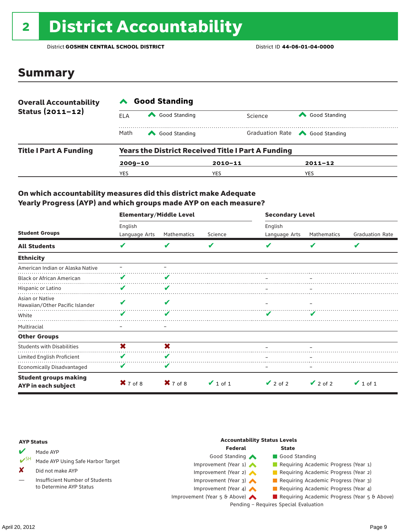## 2 District Accountability

District **GOSHEN CENTRAL SCHOOL DISTRICT** District ID **44-06-01-04-0000**

### Summary

| <b>Overall Accountability</b> | <b>Good Standing</b>                                      |               |             |                                       |  |  |
|-------------------------------|-----------------------------------------------------------|---------------|-------------|---------------------------------------|--|--|
| Status $(2011 - 12)$          | ELA                                                       | Good Standing | Science     | Good Standing                         |  |  |
|                               | Math                                                      | Good Standing |             | Graduation Rate <a> Good Standing</a> |  |  |
| <b>Title I Part A Funding</b> | <b>Years the District Received Title I Part A Funding</b> |               |             |                                       |  |  |
|                               | $2009 - 10$                                               |               | $2010 - 11$ | $2011 - 12$                           |  |  |
|                               | YES                                                       |               | YES         | YES                                   |  |  |

#### On which accountability measures did this district make Adequate Yearly Progress (AYP) and which groups made AYP on each measure?

|                                                     | <b>Elementary/Middle Level</b> |             |               | <b>Secondary Level</b> |               |                        |  |
|-----------------------------------------------------|--------------------------------|-------------|---------------|------------------------|---------------|------------------------|--|
|                                                     | English                        |             |               | English                |               |                        |  |
| <b>Student Groups</b>                               | Language Arts                  | Mathematics | Science       | Language Arts          | Mathematics   | <b>Graduation Rate</b> |  |
| <b>All Students</b>                                 | V                              | V           | V             |                        | V             | V                      |  |
| <b>Ethnicity</b>                                    |                                |             |               |                        |               |                        |  |
| American Indian or Alaska Native                    |                                |             |               |                        |               |                        |  |
| <b>Black or African American</b>                    | V                              |             |               |                        |               |                        |  |
| Hispanic or Latino                                  | V                              | V           |               |                        |               |                        |  |
| Asian or Native<br>Hawaiian/Other Pacific Islander  | v                              |             |               |                        |               |                        |  |
| White                                               | v                              |             |               |                        |               |                        |  |
| Multiracial                                         |                                |             |               |                        |               |                        |  |
| <b>Other Groups</b>                                 |                                |             |               |                        |               |                        |  |
| <b>Students with Disabilities</b>                   | X                              | X           |               |                        |               |                        |  |
| Limited English Proficient                          | V                              | ✔           |               |                        |               |                        |  |
| <b>Economically Disadvantaged</b>                   | V                              | V           |               |                        |               |                        |  |
| <b>Student groups making</b><br>AYP in each subject | $X$ 7 of 8                     | $X$ 7 of 8  | $\vee$ 1 of 1 | $\vee$ 2 of 2          | $\vee$ 2 of 2 | $\vee$ 1 of 1          |  |

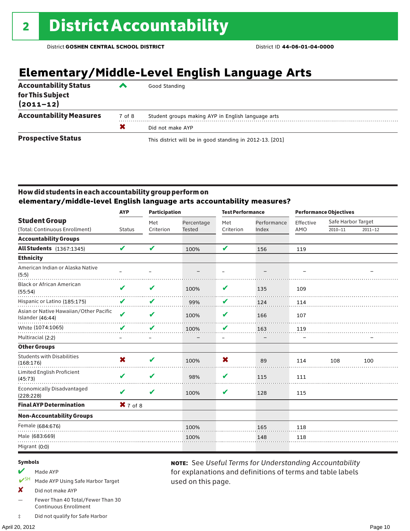### **Elementary/Middle-Level English Language Arts**

| <b>Accountability Status</b><br>for This Subject<br>$(2011 - 12)$ | ‴      | Good Standing                                            |
|-------------------------------------------------------------------|--------|----------------------------------------------------------|
| <b>Accountability Measures</b>                                    | 7 of 8 | Student groups making AYP in English language arts       |
|                                                                   |        | Did not make AYP                                         |
| <b>Prospective Status</b>                                         |        | This district will be in good standing in 2012-13. [201] |

#### How did students in each accountability group perform on **elementary/middle-level English language arts accountability measures?**

|                                                            | <b>AYP</b>                 | <b>Participation</b> |               | <b>Test Performance</b> |             | <b>Performance Objectives</b> |                    |             |
|------------------------------------------------------------|----------------------------|----------------------|---------------|-------------------------|-------------|-------------------------------|--------------------|-------------|
| <b>Student Group</b>                                       |                            | Met                  | Percentage    | Met                     | Performance | Effective                     | Safe Harbor Target |             |
| (Total: Continuous Enrollment)                             | <b>Status</b>              | Criterion            | <b>Tested</b> | Criterion               | Index       | AMO                           | $2010 - 11$        | $2011 - 12$ |
| <b>Accountability Groups</b>                               |                            |                      |               |                         |             |                               |                    |             |
| <b>All Students</b> (1367:1345)                            | $\boldsymbol{\mathcal{U}}$ | V                    | 100%          | V                       | 156         | 119                           |                    |             |
| <b>Ethnicity</b>                                           |                            |                      |               |                         |             |                               |                    |             |
| American Indian or Alaska Native<br>(5:5)                  |                            |                      |               |                         |             |                               |                    |             |
| <b>Black or African American</b><br>(55:54)                | V                          | V                    | 100%          | V                       | 135         | 109                           |                    |             |
| Hispanic or Latino (185:175)                               | V                          | V                    | 99%           | V                       | 124         | 114                           |                    |             |
| Asian or Native Hawaiian/Other Pacific<br>Islander (46:44) | $\boldsymbol{\mathscr{L}}$ | V                    | 100%          | V                       | 166         | 107                           |                    |             |
| White (1074:1065)                                          | V                          | V                    | 100%          | V                       | 163         | 119                           |                    |             |
| Multiracial (2:2)                                          |                            | —                    |               | $\qquad \qquad -$       |             |                               |                    |             |
| <b>Other Groups</b>                                        |                            |                      |               |                         |             |                               |                    |             |
| <b>Students with Disabilities</b><br>(168:176)             | X                          | ✔                    | 100%          | X                       | 89          | 114                           | 108                | 100         |
| <b>Limited English Proficient</b><br>(45:73)               | V                          | V                    | 98%           | V                       | 115         | 111                           |                    |             |
| <b>Economically Disadvantaged</b><br>(228:228)             | V                          | V                    | 100%          | V                       | 128         | 115                           |                    |             |
| <b>Final AYP Determination</b>                             | $X$ 7 of 8                 |                      |               |                         |             |                               |                    |             |
| <b>Non-Accountability Groups</b>                           |                            |                      |               |                         |             |                               |                    |             |
| Female (684:676)                                           |                            |                      | 100%          |                         | 165         | 118                           |                    |             |
| Male (683:669)                                             |                            |                      | 100%          |                         | 148         | 118                           |                    |             |
| Migrant (0:0)                                              |                            |                      |               |                         |             |                               |                    |             |
|                                                            |                            |                      |               |                         |             |                               |                    |             |

used on this page.

note: See *Useful Terms for Understanding Accountability*  for explanations and definitions of terms and table labels

#### Symbols

- $M$  Made AYP
- ✔SH Made AYP Using Safe Harbor Target
- X Did not make AYP
- Fewer Than 40 Total/Fewer Than 30 Continuous Enrollment
- ‡ Did not qualify for Safe Harbor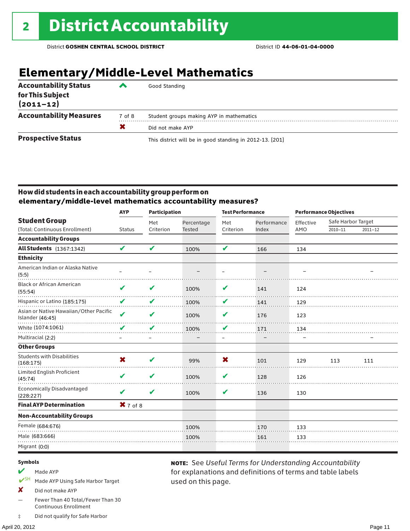### **Elementary/Middle-Level Mathematics**

| <b>Accountability Status</b><br>for This Subject<br>$(2011 - 12)$ | ▰      | Good Standing                                            |
|-------------------------------------------------------------------|--------|----------------------------------------------------------|
| <b>Accountability Measures</b>                                    | 7 of 8 | Student groups making AYP in mathematics                 |
|                                                                   | X      | Did not make AYP                                         |
| <b>Prospective Status</b>                                         |        | This district will be in good standing in 2012-13. [201] |

#### How did students in each accountability group perform on **elementary/middle-level mathematics accountability measures?**

| <b>AYP</b>                 | <b>Participation</b> |               | <b>Test Performance</b> |             | <b>Performance Objectives</b> |                    |             |
|----------------------------|----------------------|---------------|-------------------------|-------------|-------------------------------|--------------------|-------------|
|                            | Met                  | Percentage    | Met                     | Performance | Effective                     | Safe Harbor Target |             |
| <b>Status</b>              | Criterion            | <b>Tested</b> | Criterion               | Index       | AMO                           | $2010 - 11$        | $2011 - 12$ |
|                            |                      |               |                         |             |                               |                    |             |
| $\boldsymbol{\mathcal{U}}$ | V                    | 100%          | V                       | 166         | 134                           |                    |             |
|                            |                      |               |                         |             |                               |                    |             |
|                            |                      |               |                         |             |                               |                    |             |
| V                          | V                    | 100%          | V                       | 141         | 124                           |                    |             |
| V                          | V                    | 100%          | V                       | 141         | 129                           |                    |             |
| $\boldsymbol{\mathcal{U}}$ | V                    | 100%          | V                       | 176         | 123                           |                    |             |
| V                          | V                    | 100%          | V                       | 171         | 134                           |                    |             |
|                            | -                    |               | $\qquad \qquad -$       |             |                               |                    |             |
|                            |                      |               |                         |             |                               |                    |             |
| X                          | V                    | 99%           | X                       | 101         | 129                           | 113                | 111         |
| V                          | V                    | 100%          | V                       | 128         | 126                           |                    |             |
| V                          | V                    | 100%          | V                       | 136         | 130                           |                    |             |
|                            |                      |               |                         |             |                               |                    |             |
|                            |                      |               |                         |             |                               |                    |             |
|                            |                      | 100%          |                         | 170         | 133                           |                    |             |
|                            |                      | 100%          |                         | 161         | 133                           |                    |             |
|                            |                      |               |                         |             |                               |                    |             |
|                            |                      | $X$ 7 of 8    |                         |             |                               |                    |             |

used on this page.

note: See *Useful Terms for Understanding Accountability*  for explanations and definitions of terms and table labels

#### Symbols

- $M$  Made AYP
- ✔SH Made AYP Using Safe Harbor Target
- X Did not make AYP
- Fewer Than 40 Total/Fewer Than 30 Continuous Enrollment
- ‡ Did not qualify for Safe Harbor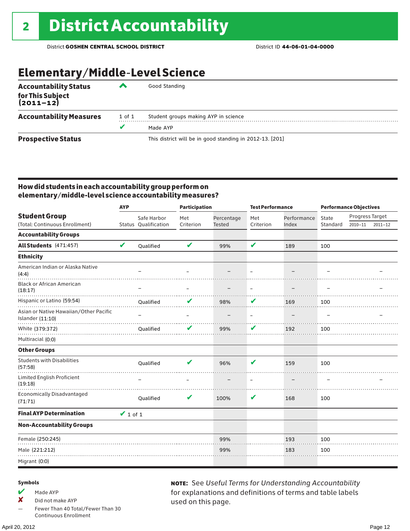### Elementary/Middle-Level Science

| <b>Accountability Status</b><br>for This Subject<br>(2011–12) |        | Good Standing                                            |  |  |  |  |  |
|---------------------------------------------------------------|--------|----------------------------------------------------------|--|--|--|--|--|
| <b>Accountability Measures</b>                                | 1 of 1 | Student groups making AYP in science                     |  |  |  |  |  |
|                                                               | v      | Made AYP                                                 |  |  |  |  |  |
| <b>Prospective Status</b>                                     |        | This district will be in good standing in 2012-13. [201] |  |  |  |  |  |

#### How did students in each accountability group perform on elementary/middle-level science accountability measures?

|                                                            | <b>AYP</b>    |                      | <b>Participation</b>     |               | <b>Test Performance</b>  |             | <b>Performance Objectives</b> |                 |             |
|------------------------------------------------------------|---------------|----------------------|--------------------------|---------------|--------------------------|-------------|-------------------------------|-----------------|-------------|
| <b>Student Group</b>                                       |               | Safe Harbor          | Met                      | Percentage    | Met                      | Performance | State                         | Progress Target |             |
| (Total: Continuous Enrollment)                             |               | Status Qualification | Criterion                | <b>Tested</b> | Criterion                | Index       | Standard                      | $2010 - 11$     | $2011 - 12$ |
| <b>Accountability Groups</b>                               |               |                      |                          |               |                          |             |                               |                 |             |
| All Students (471:457)                                     | V             | Qualified            | V                        | 99%           | V                        | 189         | 100                           |                 |             |
| <b>Ethnicity</b>                                           |               |                      |                          |               |                          |             |                               |                 |             |
| American Indian or Alaska Native<br>(4:4)                  |               |                      |                          |               |                          |             |                               |                 |             |
| <b>Black or African American</b><br>(18:17)                |               |                      | $\overline{\phantom{0}}$ |               | $\overline{\phantom{m}}$ |             |                               |                 |             |
| Hispanic or Latino (59:54)                                 |               | Qualified            |                          | 98%           | V                        | 169         | 100                           |                 |             |
| Asian or Native Hawaiian/Other Pacific<br>Islander (11:10) |               |                      |                          |               |                          |             |                               |                 |             |
| White (379:372)                                            |               | Qualified            | V                        | 99%           | V                        | 192         | 100                           |                 |             |
| Multiracial (0:0)                                          |               |                      |                          |               |                          |             |                               |                 |             |
| <b>Other Groups</b>                                        |               |                      |                          |               |                          |             |                               |                 |             |
| <b>Students with Disabilities</b><br>(57:58)               |               | Qualified            | V                        | 96%           | V                        | 159         | 100                           |                 |             |
| <b>Limited English Proficient</b><br>(19:18)               |               |                      |                          |               |                          |             |                               |                 |             |
| <b>Economically Disadvantaged</b><br>(71:71)               |               | Qualified            | V                        | 100%          | V                        | 168         | 100                           |                 |             |
| <b>Final AYP Determination</b>                             | $\vee$ 1 of 1 |                      |                          |               |                          |             |                               |                 |             |
| <b>Non-Accountability Groups</b>                           |               |                      |                          |               |                          |             |                               |                 |             |
| Female (250:245)                                           |               |                      |                          | 99%           |                          | 193         | 100                           |                 |             |
| Male (221:212)                                             |               |                      |                          | 99%           |                          | 183         | 100                           |                 |             |
| Migrant (0:0)                                              |               |                      |                          |               |                          |             |                               |                 |             |

#### Symbols

 $M$  Made AYP

✘ Did not make AYP

Fewer Than 40 Total/Fewer Than 30 Continuous Enrollment

note: See *Useful Terms for Understanding Accountability*  for explanations and definitions of terms and table labels used on this page.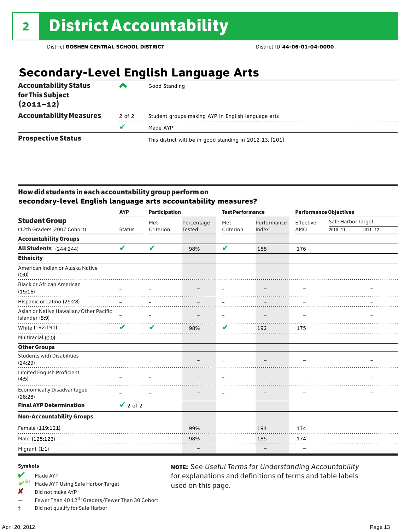### **Secondary-Level English Language Arts**

| <b>Accountability Status</b><br>for This Subject<br>$(2011 - 12)$ | ▰      | Good Standing                                            |  |  |  |  |
|-------------------------------------------------------------------|--------|----------------------------------------------------------|--|--|--|--|
| <b>Accountability Measures</b>                                    | 2 of 2 | Student groups making AYP in English language arts       |  |  |  |  |
|                                                                   |        | Made AYP                                                 |  |  |  |  |
| <b>Prospective Status</b>                                         |        | This district will be in good standing in 2012-13. [201] |  |  |  |  |

#### How did students in each accountability group perform on **secondary-level English language arts accountability measures?**

|                                                          | <b>AYP</b>               | <b>Participation</b>       |               | <b>Test Performance</b> |             | <b>Performance Objectives</b> |                    |             |
|----------------------------------------------------------|--------------------------|----------------------------|---------------|-------------------------|-------------|-------------------------------|--------------------|-------------|
| <b>Student Group</b>                                     |                          | Met                        | Percentage    | Met                     | Performance | Effective                     | Safe Harbor Target |             |
| (12th Graders: 2007 Cohort)                              | <b>Status</b>            | Criterion                  | <b>Tested</b> | Criterion               | Index       | AMO                           | $2010 - 11$        | $2011 - 12$ |
| <b>Accountability Groups</b>                             |                          |                            |               |                         |             |                               |                    |             |
| All Students (244:244)                                   | V                        | $\boldsymbol{\mathcal{U}}$ | 98%           | V                       | 188         | 176                           |                    |             |
| <b>Ethnicity</b>                                         |                          |                            |               |                         |             |                               |                    |             |
| American Indian or Alaska Native<br>(0:0)                |                          |                            |               |                         |             |                               |                    |             |
| <b>Black or African American</b>                         |                          |                            |               |                         |             |                               |                    |             |
| (15:16)                                                  |                          |                            |               |                         |             |                               |                    |             |
| Hispanic or Latino (29:28)                               |                          |                            |               |                         |             |                               |                    |             |
| Asian or Native Hawaiian/Other Pacific<br>Islander (8:9) | $\overline{\phantom{0}}$ |                            |               | $\qquad \qquad -$       |             |                               |                    |             |
| White (192:191)                                          | V                        | ✔                          | 98%           | V                       | 192         | 175                           |                    |             |
| Multiracial (0:0)                                        |                          |                            |               |                         |             |                               |                    |             |
| <b>Other Groups</b>                                      |                          |                            |               |                         |             |                               |                    |             |
| <b>Students with Disabilities</b>                        |                          |                            |               |                         |             |                               |                    |             |
| (24:29)                                                  |                          |                            |               |                         |             |                               |                    |             |
| Limited English Proficient<br>(4:5)                      |                          |                            |               |                         |             |                               |                    |             |
| <b>Economically Disadvantaged</b><br>(28:28)             |                          |                            |               |                         |             |                               |                    |             |
| <b>Final AYP Determination</b>                           | $\vee$ 2 of 2            |                            |               |                         |             |                               |                    |             |
| <b>Non-Accountability Groups</b>                         |                          |                            |               |                         |             |                               |                    |             |
| Female (119:121)                                         |                          |                            | 99%           |                         | 191         | 174                           |                    |             |
| Male (125:123)                                           |                          |                            | 98%           |                         | 185         | 174                           |                    |             |
| Migrant (1:1)                                            |                          |                            |               |                         |             |                               |                    |             |

used on this page.

note: See *Useful Terms for Understanding Accountability*  for explanations and definitions of terms and table labels

#### Symbols

## Made AYP<br>  $V$ <sup>SH</sup> Made AVP

- Made AYP Using Safe Harbor Target
- ✘ Did not make AYP
- Fewer Than 40 12th Graders/Fewer Than 30 Cohort

‡ Did not qualify for Safe Harbor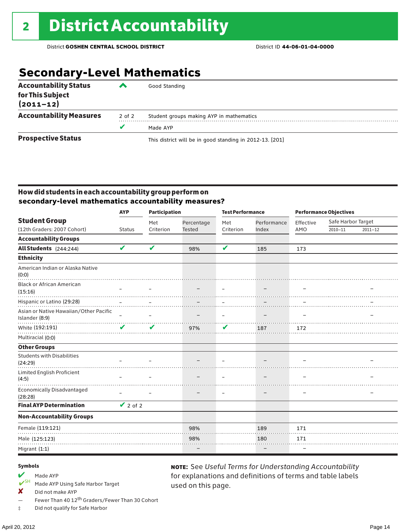### **Secondary-Level Mathematics**

| <b>Accountability Status</b><br>for This Subject<br>$(2011 - 12)$ | ‴      | Good Standing                                            |  |  |  |  |
|-------------------------------------------------------------------|--------|----------------------------------------------------------|--|--|--|--|
| <b>Accountability Measures</b>                                    | 2 of 2 | Student groups making AYP in mathematics                 |  |  |  |  |
|                                                                   | v      | Made AYP                                                 |  |  |  |  |
| <b>Prospective Status</b>                                         |        | This district will be in good standing in 2012-13. [201] |  |  |  |  |

#### How did students in each accountability group perform on **secondary-level mathematics accountability measures?**

|                                                                      | <b>AYP</b>                 | <b>Participation</b>     |            | <b>Test Performance</b>  |             | <b>Performance Objectives</b> |                    |             |
|----------------------------------------------------------------------|----------------------------|--------------------------|------------|--------------------------|-------------|-------------------------------|--------------------|-------------|
| <b>Student Group</b>                                                 |                            | Met                      | Percentage | Met                      | Performance | Effective                     | Safe Harbor Target |             |
| (12th Graders: 2007 Cohort)                                          | <b>Status</b>              | Criterion                | Tested     | Criterion                | Index       | AMO                           | $2010 - 11$        | $2011 - 12$ |
| <b>Accountability Groups</b>                                         |                            |                          |            |                          |             |                               |                    |             |
| All Students (244:244)                                               | $\boldsymbol{\mathcal{U}}$ | V                        | 98%        | V                        | 185         | 173                           |                    |             |
| <b>Ethnicity</b>                                                     |                            |                          |            |                          |             |                               |                    |             |
| American Indian or Alaska Native<br>(0:0)                            |                            |                          |            |                          |             |                               |                    |             |
| <b>Black or African American</b><br>(15:16)                          |                            |                          |            |                          |             |                               |                    |             |
| Hispanic or Latino (29:28)<br>Asian or Native Hawaiian/Other Pacific |                            |                          |            |                          |             |                               |                    |             |
| Islander (8:9)                                                       | $\equiv$                   | $\overline{\phantom{0}}$ |            | $\overline{\phantom{m}}$ | -           |                               |                    |             |
| White (192:191)                                                      | ✔                          | V                        | 97%        | V                        | 187         | 172                           |                    |             |
| Multiracial (0:0)                                                    |                            |                          |            |                          |             |                               |                    |             |
| <b>Other Groups</b>                                                  |                            |                          |            |                          |             |                               |                    |             |
| <b>Students with Disabilities</b><br>(24:29)                         |                            |                          |            |                          |             |                               |                    |             |
| Limited English Proficient<br>(4:5)                                  |                            |                          |            |                          |             |                               |                    |             |
| <b>Economically Disadvantaged</b><br>(28:28)                         |                            |                          |            | $\overline{\phantom{m}}$ | -           |                               |                    |             |
| <b>Final AYP Determination</b>                                       | $\vee$ 2 of 2              |                          |            |                          |             |                               |                    |             |
| <b>Non-Accountability Groups</b>                                     |                            |                          |            |                          |             |                               |                    |             |
| Female (119:121)                                                     |                            |                          | 98%        |                          | 189         | 171                           |                    |             |
| Male (125:123)                                                       |                            |                          | 98%        |                          | 180         | 171                           |                    |             |
| Migrant (1:1)                                                        |                            |                          |            |                          |             |                               |                    |             |

used on this page.

note: See *Useful Terms for Understanding Accountability*  for explanations and definitions of terms and table labels

#### Symbols

- Made AYP<br>  $V$ <sup>SH</sup> Made AVP
- Made AYP Using Safe Harbor Target
- ✘ Did not make AYP
- Fewer Than 40 12th Graders/Fewer Than 30 Cohort
- ‡ Did not qualify for Safe Harbor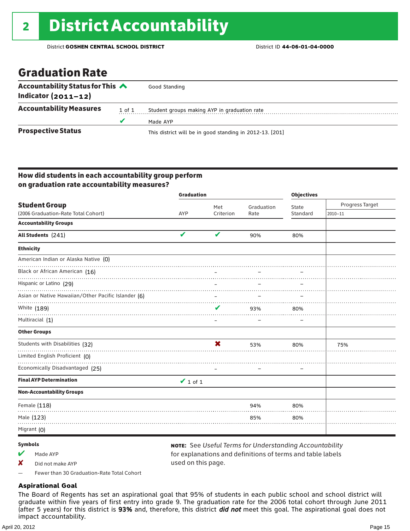### Graduation Rate

| Accountability Status for This $\triangle$<br>Indicator $(2011-12)$ |        | Good Standing                                            |
|---------------------------------------------------------------------|--------|----------------------------------------------------------|
| <b>Accountability Measures</b>                                      | 1 of 1 | Student groups making AYP in graduation rate             |
|                                                                     |        | Made AYP                                                 |
| <b>Prospective Status</b>                                           |        | This district will be in good standing in 2012-13. [201] |

#### How did students in each accountability group perform on graduation rate accountability measures?

|                                                     | <b>Graduation</b> |           |            | <b>Objectives</b> |                 |  |
|-----------------------------------------------------|-------------------|-----------|------------|-------------------|-----------------|--|
| <b>Student Group</b>                                |                   | Met       | Graduation | State             | Progress Target |  |
| (2006 Graduation-Rate Total Cohort)                 | AYP               | Criterion | Rate       | Standard          | $2010 - 11$     |  |
| <b>Accountability Groups</b>                        |                   |           |            |                   |                 |  |
| All Students (241)                                  | V                 | V         | 90%        | 80%               |                 |  |
| <b>Ethnicity</b>                                    |                   |           |            |                   |                 |  |
| American Indian or Alaska Native (0)                |                   |           |            |                   |                 |  |
| Black or African American (16)                      |                   |           |            |                   |                 |  |
| Hispanic or Latino (29)                             |                   |           |            |                   |                 |  |
| Asian or Native Hawaiian/Other Pacific Islander (6) |                   |           |            |                   |                 |  |
| White (189)                                         |                   | V         | 93%        | 80%               |                 |  |
| Multiracial (1)                                     |                   | —         |            |                   |                 |  |
| <b>Other Groups</b>                                 |                   |           |            |                   |                 |  |
| Students with Disabilities (32)                     |                   | X         | 53%        | 80%               | 75%             |  |
| Limited English Proficient (0)                      |                   |           |            |                   |                 |  |
| Economically Disadvantaged (25)                     |                   |           |            |                   |                 |  |
| <b>Final AYP Determination</b>                      | $\vee$ 1 of 1     |           |            |                   |                 |  |
| <b>Non-Accountability Groups</b>                    |                   |           |            |                   |                 |  |
| Female (118)                                        |                   |           | 94%        | 80%               |                 |  |
| Male (123)                                          |                   |           | 85%        | 80%               |                 |  |
| Migrant (0)                                         |                   |           |            |                   |                 |  |

#### Symbols

 $M$  Made AYP

✘ Did not make AYP

note: See *Useful Terms for Understanding Accountability*  for explanations and definitions of terms and table labels used on this page.

— Fewer than 30 Graduation-Rate Total Cohort

#### **Aspirational Goal**

The Board of Regents has set an aspirational goal that 95% of students in each public school and school district will graduate within five years of first entry into grade 9. The graduation rate for the 2006 total cohort through June 2011 (after 5 years) for this district is 93% and, therefore, this district *did not* meet this goal. The aspirational goal does not impact accountability.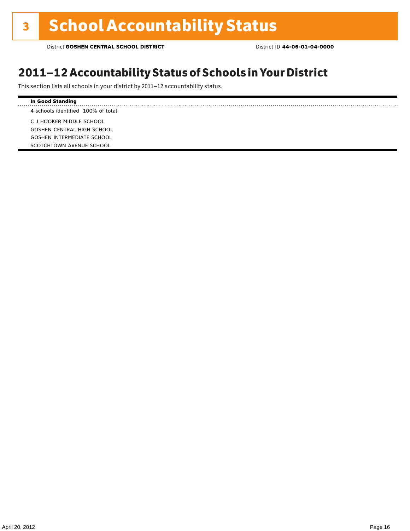### 2011–12 Accountability Status of Schools in Your District

This section lists all schools in your district by 2011–12 accountability status.

#### **In Good Standing** . . . . . . . . . . . . . . . . . . . 4 schools identified 100% of total C J HOOKER MIDDLE SCHOOL GOSHEN CENTRAL HIGH SCHOOL GOSHEN INTERMEDIATE SCHOOL SCOTCHTOWN AVENUE SCHOOL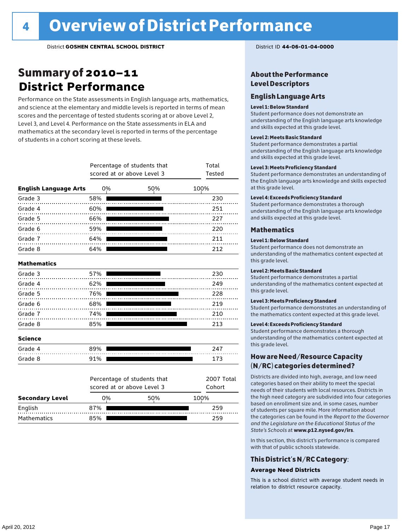### Summary of 2010–11 **District Performance**

Performance on the State assessments in English language arts, mathematics, and science at the elementary and middle levels is reported in terms of mean scores and the percentage of tested students scoring at or above Level 2, Level 3, and Level 4. Performance on the State assessments in ELA and mathematics at the secondary level is reported in terms of the percentage of students in a cohort scoring at these levels.

|                              |     | scored at or above Level 3 | Percentage of students that | Total<br><b>Tested</b> |
|------------------------------|-----|----------------------------|-----------------------------|------------------------|
| <b>English Language Arts</b> |     | 0%                         | 50%                         | 100%                   |
| Grade 3                      | 58% |                            |                             | 230                    |
| Grade 4<br>.                 | 60% |                            |                             | 251                    |
| Grade 5                      | 66% |                            |                             | 227                    |
| Grade 6                      | 59% |                            |                             | 220                    |
| Grade 7                      | 64% |                            |                             | 211                    |
| Grade 8                      | 64% |                            |                             | 212                    |
| <b>Mathematics</b>           |     |                            |                             |                        |
| Grade 3                      | 57% |                            |                             | 230                    |
| Grade 4                      | 62% |                            |                             | 249                    |
| Grade 5                      | 76% |                            |                             | 228                    |
| Grade 6                      | 68% |                            |                             | 219                    |
| Grade 7                      | 74% |                            |                             | 210                    |
| Grade 8                      | 85% |                            |                             | 213                    |
| <b>Science</b>               |     |                            |                             |                        |
| Grade 4                      | 89% |                            |                             | 247                    |
| Grade 8                      | 91% |                            |                             | 173                    |
|                              |     |                            | Percentage of students that | 2007 Total             |
|                              |     | scored at or above Level 3 |                             | Cohort                 |
| <b>Secondary Level</b>       |     | 0%                         | 50%                         | 100%                   |
| English                      | 87% |                            |                             | 259                    |

Mathematics 85% 259

#### About the Performance Level Descriptors

#### English Language Arts

#### Level 1: Below Standard

Student performance does not demonstrate an understanding of the English language arts knowledge and skills expected at this grade level.

#### Level 2: Meets Basic Standard

Student performance demonstrates a partial understanding of the English language arts knowledge and skills expected at this grade level.

#### Level 3: Meets Proficiency Standard

Student performance demonstrates an understanding of the English language arts knowledge and skills expected at this grade level.

#### Level 4: Exceeds Proficiency Standard

Student performance demonstrates a thorough understanding of the English language arts knowledge and skills expected at this grade level.

#### Mathematics

#### Level 1: Below Standard

Student performance does not demonstrate an understanding of the mathematics content expected at this grade level.

#### Level 2: Meets Basic Standard

Student performance demonstrates a partial understanding of the mathematics content expected at this grade level.

#### Level 3: Meets Proficiency Standard

Student performance demonstrates an understanding of the mathematics content expected at this grade level.

#### Level 4: Exceeds Proficiency Standard

Student performance demonstrates a thorough understanding of the mathematics content expected at this grade level.

#### How are Need/Resource Capacity (N/RC) categories determined?

Districts are divided into high, average, and low need categories based on their ability to meet the special needs of their students with local resources. Districts in the high need category are subdivided into four categories based on enrollment size and, in some cases, number of students per square mile. More information about the categories can be found in the *Report to the Governor and the Legislature on the Educational Status of the State's Schools* at www.p12.nysed.gov/irs.

In this section, this district's performance is compared with that of public schools statewide.

#### This District's N/RC Category:

#### **Average Need Districts**

This is a school district with average student needs in relation to district resource capacity.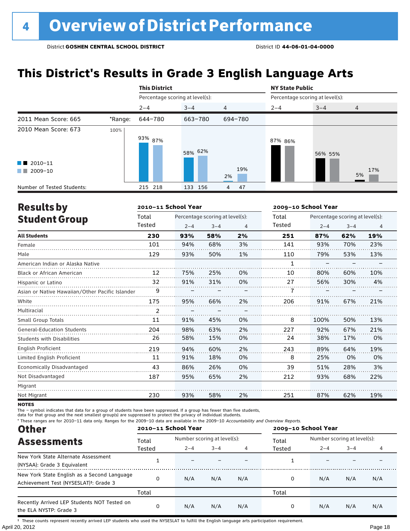### **This District's Results in Grade 3 English Language Arts**

|                                                |         | <b>This District</b>            |            |                |         | <b>NY State Public</b>          |                |  |  |
|------------------------------------------------|---------|---------------------------------|------------|----------------|---------|---------------------------------|----------------|--|--|
|                                                |         | Percentage scoring at level(s): |            |                |         | Percentage scoring at level(s): |                |  |  |
|                                                |         | $2 - 4$                         | $3 - 4$    | $\overline{4}$ | $2 - 4$ | $3 - 4$                         | $\overline{4}$ |  |  |
| 2011 Mean Score: 665                           | *Range: | 644-780                         | 663-780    | 694-780        |         |                                 |                |  |  |
| 2010 Mean Score: 673<br>$\blacksquare$ 2010-11 | 100%    | 93% <sub>87%</sub>              | 58% 62%    | 19%            | 87% 86% | 56% 55%                         | 17%            |  |  |
| 2009-10<br><b>The Co</b>                       |         |                                 |            | 2%             |         |                                 | 5%             |  |  |
| Number of Tested Students:                     |         | 215 218                         | 133<br>156 | 47<br>4        |         |                                 |                |  |  |

| <b>Results by</b>                               |        | 2010-11 School Year |                                 |    |        | 2009-10 School Year<br>Percentage scoring at level(s):<br>$2 - 4$<br>$3 - 4$<br>$\overline{4}$<br>19%<br>62%<br>87% |     |     |  |  |
|-------------------------------------------------|--------|---------------------|---------------------------------|----|--------|---------------------------------------------------------------------------------------------------------------------|-----|-----|--|--|
| <b>Student Group</b>                            | Total  |                     | Percentage scoring at level(s): |    | Total  |                                                                                                                     |     |     |  |  |
|                                                 | Tested | $2 - 4$             | $3 - 4$                         | 4  | Tested |                                                                                                                     |     |     |  |  |
| <b>All Students</b>                             | 230    | 93%                 | 58%                             | 2% | 251    |                                                                                                                     |     |     |  |  |
| Female                                          | 101    | 94%                 | 68%                             | 3% | 141    | 93%                                                                                                                 | 70% | 23% |  |  |
| Male                                            | 129    | 93%                 | 50%                             | 1% | 110    | 79%                                                                                                                 | 53% | 13% |  |  |
| American Indian or Alaska Native                |        |                     |                                 |    | 1      |                                                                                                                     |     |     |  |  |
| Black or African American                       | 12     | 75%                 | 25%                             | 0% | 10     | 80%                                                                                                                 | 60% | 10% |  |  |
| Hispanic or Latino                              | 32     | 91%                 | 31%                             | 0% | 27     | 56%                                                                                                                 | 30% | 4%  |  |  |
| Asian or Native Hawaiian/Other Pacific Islander |        |                     |                                 |    |        |                                                                                                                     |     |     |  |  |
| White                                           | 175    | 95%                 | 66%                             | 2% | 206    | 91%                                                                                                                 | 67% | 21% |  |  |
| Multiracial                                     | 2      |                     |                                 |    |        |                                                                                                                     |     |     |  |  |
| <b>Small Group Totals</b>                       | 11     | 91%                 | 45%                             | 0% | 8      | 100%                                                                                                                | 50% | 13% |  |  |
| <b>General-Education Students</b>               | 204    | 98%                 | 63%                             | 2% | 227    | 92%                                                                                                                 | 67% | 21% |  |  |
| <b>Students with Disabilities</b>               | 26     | 58%                 | 15%                             | 0% | 24     | 38%                                                                                                                 | 17% | 0%  |  |  |
| English Proficient                              | 219    | 94%                 | 60%                             | 2% | 243    | 89%                                                                                                                 | 64% | 19% |  |  |
| Limited English Proficient                      | 11     | 91%                 | 18%                             | 0% | 8      | 25%                                                                                                                 | 0%  | 0%  |  |  |
| Economically Disadvantaged                      | 43     | 86%                 | 26%                             | 0% | 39     | 51%                                                                                                                 | 28% | 3%  |  |  |
| Not Disadvantaged                               | 187    | 95%                 | 65%                             | 2% | 212    | 93%                                                                                                                 | 68% | 22% |  |  |
| Migrant                                         |        |                     |                                 |    |        |                                                                                                                     |     |     |  |  |
| Not Migrant                                     | 230    | 93%                 | 58%                             | 2% | 251    | 87%                                                                                                                 | 62% | 19% |  |  |

**NOTES** 

The – symbol indicates that data for a group of students have been suppressed. If a group has fewer than five students,

data for that group and the next smallest group(s) are suppressed to protect the privacy of individual students.

\* These ranges are for 2010–11 data only. Ranges for the 2009–10 data are available in the 2009–10 Accountability and Overview Reports.

| <b>Other</b>                                                                                      | 2010-11 School Year |                             |         |     | 2009-10 School Year |                             |         |     |  |
|---------------------------------------------------------------------------------------------------|---------------------|-----------------------------|---------|-----|---------------------|-----------------------------|---------|-----|--|
| <b>Assessments</b>                                                                                | Total               | Number scoring at level(s): |         |     | Total               | Number scoring at level(s): |         |     |  |
|                                                                                                   | Tested              | $2 - 4$                     | $3 - 4$ |     | Tested              | $2 - 4$                     | $3 - 4$ |     |  |
| New York State Alternate Assessment<br>(NYSAA): Grade 3 Equivalent                                |                     |                             |         |     |                     |                             |         |     |  |
| New York State English as a Second Language<br>Achievement Test (NYSESLAT) <sup>+</sup> : Grade 3 | O                   | N/A                         | N/A     | N/A | 0                   | N/A                         | N/A     | N/A |  |
|                                                                                                   | Total               |                             |         |     | Total               |                             |         |     |  |
| Recently Arrived LEP Students NOT Tested on<br>the ELA NYSTP: Grade 3                             |                     | N/A                         | N/A     | N/A | 0                   | N/A                         | N/A     | N/A |  |

April 20, 2012 Page 18 † These counts represent recently arrived LEP students who used the NYSESLAT to fulfill the English language arts participation requirement.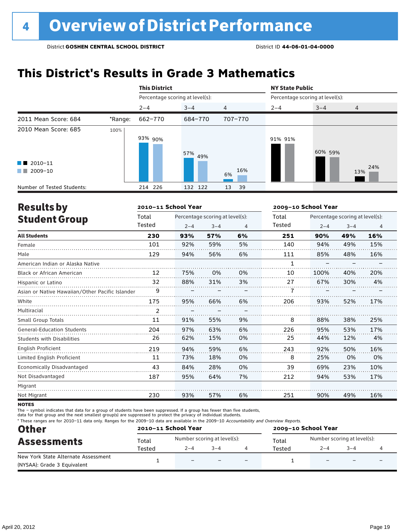### **This District's Results in Grade 3 Mathematics**

|                                                                            |         | <b>This District</b>            |            |                | <b>NY State Public</b>          |         |                |  |
|----------------------------------------------------------------------------|---------|---------------------------------|------------|----------------|---------------------------------|---------|----------------|--|
|                                                                            |         | Percentage scoring at level(s): |            |                | Percentage scoring at level(s): |         |                |  |
|                                                                            |         | $2 - 4$                         | $3 - 4$    | $\overline{4}$ | $2 - 4$                         | $3 - 4$ | $\overline{4}$ |  |
| 2011 Mean Score: 684                                                       | *Range: | 662-770                         | 684-770    | 707-770        |                                 |         |                |  |
| 2010 Mean Score: 685<br>$\blacksquare$ 2010-11<br>2009-10<br><b>The Co</b> | 100%    | 93% 90%                         | 57%<br>49% | 16%<br>6%      | 91% 91%                         | 60% 59% | 24%<br>13%     |  |
| Number of Tested Students:                                                 |         | 214 226                         | 132 122    | 39<br>13       |                                 |         |                |  |

| <b>Results by</b>                               |                | 2010-11 School Year |                                 |    |        | 2009-10 School Year             |         | 4<br>16%<br>15%<br>16% |  |  |  |  |
|-------------------------------------------------|----------------|---------------------|---------------------------------|----|--------|---------------------------------|---------|------------------------|--|--|--|--|
| <b>Student Group</b>                            | Total          |                     | Percentage scoring at level(s): |    | Total  | Percentage scoring at level(s): |         |                        |  |  |  |  |
|                                                 | Tested         | $2 - 4$             | $3 - 4$                         | 4  | Tested | $2 - 4$                         | $3 - 4$ |                        |  |  |  |  |
| <b>All Students</b>                             | 230            | 93%                 | 57%                             | 6% | 251    | 90%                             | 49%     |                        |  |  |  |  |
| Female                                          | 101            | 92%                 | 59%                             | 5% | 140    | 94%                             | 49%     |                        |  |  |  |  |
| Male                                            | 129            | 94%                 | 56%                             | 6% | 111    | 85%                             | 48%     |                        |  |  |  |  |
| American Indian or Alaska Native                |                |                     |                                 |    | 1      |                                 |         |                        |  |  |  |  |
| <b>Black or African American</b>                | 12             | 75%                 | 0%                              | 0% | 10     | 100%                            | 40%     | 20%                    |  |  |  |  |
| Hispanic or Latino                              | 32             | 88%                 | 31%                             | 3% | 27     | 67%                             | 30%     | 4%                     |  |  |  |  |
| Asian or Native Hawaiian/Other Pacific Islander | 9              |                     |                                 |    |        |                                 |         |                        |  |  |  |  |
| White                                           | 175            | 95%                 | 66%                             | 6% | 206    | 93%                             | 52%     | 17%                    |  |  |  |  |
| Multiracial                                     | $\overline{2}$ |                     |                                 |    |        |                                 |         |                        |  |  |  |  |
| <b>Small Group Totals</b>                       | 11             | 91%                 | 55%                             | 9% | 8      | 88%                             | 38%     | 25%                    |  |  |  |  |
| <b>General-Education Students</b>               | 204            | 97%                 | 63%                             | 6% | 226    | 95%                             | 53%     | 17%                    |  |  |  |  |
| <b>Students with Disabilities</b>               | 26             | 62%                 | 15%                             | 0% | 25     | 44%                             | 12%     | 4%                     |  |  |  |  |
| <b>English Proficient</b>                       | 219            | 94%                 | 59%                             | 6% | 243    | 92%                             | 50%     | 16%                    |  |  |  |  |
| Limited English Proficient                      | 11             | 73%                 | 18%                             | 0% | 8      | 25%                             | 0%      | 0%                     |  |  |  |  |
| Economically Disadvantaged                      | 43             | 84%                 | 28%                             | 0% | 39     | 69%                             | 23%     | 10%                    |  |  |  |  |
| Not Disadvantaged                               | 187            | 95%                 | 64%                             | 7% | 212    | 94%                             | 53%     | 17%                    |  |  |  |  |
| Migrant                                         |                |                     |                                 |    |        |                                 |         |                        |  |  |  |  |
| Not Migrant                                     | 230            | 93%                 | 57%                             | 6% | 251    | 90%                             | 49%     | 16%                    |  |  |  |  |

**NOTES** 

The – symbol indicates that data for a group of students have been suppressed. If a group has fewer than five students,

data for that group and the next smallest group(s) are suppressed to protect the privacy of individual students.

\* These ranges are for 2010–11 data only. Ranges for the 2009–10 data are available in the 2009–10 Accountability and Overview Reports.

| <b>Other</b>                                                       |        | 2010-11 School Year         |         |                          | 2009-10 School Year |                             |         |  |  |
|--------------------------------------------------------------------|--------|-----------------------------|---------|--------------------------|---------------------|-----------------------------|---------|--|--|
| <b>Assessments</b>                                                 | Total  | Number scoring at level(s): |         |                          | Total               | Number scoring at level(s): |         |  |  |
|                                                                    | Tested | $2 - 4$                     | $3 - 4$ |                          | Tested              | $2 - 4$                     | $3 - 4$ |  |  |
| New York State Alternate Assessment<br>(NYSAA): Grade 3 Equivalent |        | $\qquad \qquad -$           |         | $\overline{\phantom{0}}$ |                     | $\overline{\phantom{0}}$    |         |  |  |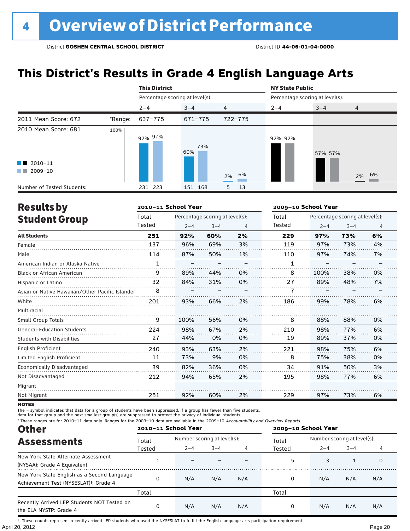### **This District's Results in Grade 4 English Language Arts**

|                                                                      |         | <b>This District</b>            |            |                | <b>NY State Public</b> |                                 |                |  |  |
|----------------------------------------------------------------------|---------|---------------------------------|------------|----------------|------------------------|---------------------------------|----------------|--|--|
|                                                                      |         | Percentage scoring at level(s): |            |                |                        | Percentage scoring at level(s): |                |  |  |
|                                                                      |         | $2 - 4$                         | $3 - 4$    | $\overline{4}$ | $2 - 4$                | $3 - 4$                         | $\overline{4}$ |  |  |
| 2011 Mean Score: 672                                                 | *Range: | 637-775                         | 671-775    | 722-775        |                        |                                 |                |  |  |
| 2010 Mean Score: 681<br>$\blacksquare$ 2010-11<br>2009-10<br>and the | 100%    | 97%<br>92%                      | 73%<br>60% | 6%<br>2%       | 92% 92%                | 57% 57%                         | 2% 6%          |  |  |
| Number of Tested Students:                                           |         | 231 223                         | 151 168    | 5<br>13        |                        |                                 |                |  |  |

| <b>Results by</b>                               |              | 2010-11 School Year |                                 |    | 2009-10 School Year |                                 |         |    |
|-------------------------------------------------|--------------|---------------------|---------------------------------|----|---------------------|---------------------------------|---------|----|
| <b>Student Group</b>                            | Total        |                     | Percentage scoring at level(s): |    | Total               | Percentage scoring at level(s): |         |    |
|                                                 | Tested       | $2 - 4$             | $3 - 4$                         | 4  | Tested              | $2 - 4$                         | $3 - 4$ | 4  |
| <b>All Students</b>                             | 251          | 92%                 | 60%                             | 2% | 229                 | 97%                             | 73%     | 6% |
| Female                                          | 137          | 96%                 | 69%                             | 3% | 119                 | 97%                             | 73%     | 4% |
| Male                                            | 114          | 87%                 | 50%                             | 1% | 110                 | 97%                             | 74%     | 7% |
| American Indian or Alaska Native                | $\mathbf{1}$ |                     |                                 |    | $\mathbf{1}$        |                                 |         |    |
| <b>Black or African American</b>                | 9            | 89%                 | 44%                             | 0% | 8                   | 100%                            | 38%     | 0% |
| Hispanic or Latino                              | 32           | 84%                 | 31%                             | 0% | 27                  | 89%                             | 48%     | 7% |
| Asian or Native Hawaiian/Other Pacific Islander | 8            |                     |                                 |    |                     |                                 |         |    |
| White                                           | 201          | 93%                 | 66%                             | 2% | 186                 | 99%                             | 78%     | 6% |
| Multiracial                                     |              |                     |                                 |    |                     |                                 |         |    |
| Small Group Totals                              | 9            | 100%                | 56%                             | 0% | 8                   | 88%                             | 88%     | 0% |
| <b>General-Education Students</b>               | 224          | 98%                 | 67%                             | 2% | 210                 | 98%                             | 77%     | 6% |
| <b>Students with Disabilities</b>               | 27           | 44%                 | 0%                              | 0% | 19                  | 89%                             | 37%     | 0% |
| English Proficient                              | 240          | 93%                 | 63%                             | 2% | 221                 | 98%                             | 75%     | 6% |
| Limited English Proficient                      | 11           | 73%                 | 9%                              | 0% | 8                   | 75%                             | 38%     | 0% |
| Economically Disadvantaged                      | 39           | 82%                 | 36%                             | 0% | 34                  | 91%                             | 50%     | 3% |
| Not Disadvantaged                               | 212          | 94%                 | 65%                             | 2% | 195                 | 98%                             | 77%     | 6% |
| Migrant                                         |              |                     |                                 |    |                     |                                 |         |    |
| Not Migrant                                     | 251          | 92%                 | 60%                             | 2% | 229                 | 97%                             | 73%     | 6% |

**NOTES** 

The – symbol indicates that data for a group of students have been suppressed. If a group has fewer than five students,

data for that group and the next smallest group(s) are suppressed to protect the privacy of individual students.

\* These ranges are for 2010–11 data only. Ranges for the 2009–10 data are available in the 2009–10 Accountability and Overview Reports.

| <b>Other</b>                                                                                      | 2010-11 School Year |                             |         |     | 2009-10 School Year |                             |         |     |
|---------------------------------------------------------------------------------------------------|---------------------|-----------------------------|---------|-----|---------------------|-----------------------------|---------|-----|
| <b>Assessments</b>                                                                                | Total               | Number scoring at level(s): |         |     | Total               | Number scoring at level(s): |         |     |
|                                                                                                   | Tested              | $2 - 4$                     | $3 - 4$ | 4   | Tested              | $2 - 4$                     | $3 - 4$ | 4   |
| New York State Alternate Assessment<br>(NYSAA): Grade 4 Equivalent                                |                     |                             |         |     | 5                   | 3                           |         | 0   |
| New York State English as a Second Language<br>Achievement Test (NYSESLAT) <sup>†</sup> : Grade 4 |                     | N/A                         | N/A     | N/A | 0                   | N/A                         | N/A     | N/A |
|                                                                                                   | Total               |                             |         |     | Total               |                             |         |     |
| Recently Arrived LEP Students NOT Tested on<br>the ELA NYSTP: Grade 4                             |                     | N/A                         | N/A     | N/A | 0                   | N/A                         | N/A     | N/A |

April 20, 2012 Page 20 † These counts represent recently arrived LEP students who used the NYSESLAT to fulfill the English language arts participation requirement.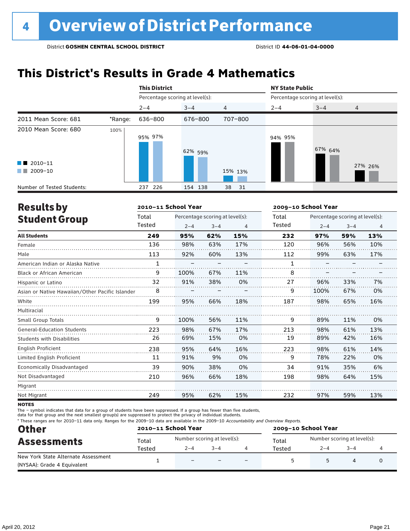### **This District's Results in Grade 4 Mathematics**

|                            |         | <b>This District</b>            |         |                | <b>NY State Public</b> |                                 |                |  |  |
|----------------------------|---------|---------------------------------|---------|----------------|------------------------|---------------------------------|----------------|--|--|
|                            |         | Percentage scoring at level(s): |         |                |                        | Percentage scoring at level(s): |                |  |  |
|                            |         | $2 - 4$                         | $3 - 4$ | $\overline{4}$ | $2 - 4$                | $3 - 4$                         | $\overline{4}$ |  |  |
| 2011 Mean Score: 681       | *Range: | 636-800                         | 676-800 | 707-800        |                        |                                 |                |  |  |
| 2010 Mean Score: 680       | 100%    | 95% 97%                         | 62% 59% |                | 94% 95%                | 67% 64%                         |                |  |  |
| $\blacksquare$ 2010-11     |         |                                 |         |                |                        |                                 | 27% 26%        |  |  |
| 2009-10<br><b>The Co</b>   |         |                                 |         | 15% 13%        |                        |                                 |                |  |  |
| Number of Tested Students: |         | 237 226                         | 154 138 | 38<br>-31      |                        |                                 |                |  |  |

| <b>Results by</b>                               |              | 2010-11 School Year |                                 |     | 2009-10 School Year                      |         |         |                |
|-------------------------------------------------|--------------|---------------------|---------------------------------|-----|------------------------------------------|---------|---------|----------------|
| <b>Student Group</b>                            | Total        |                     | Percentage scoring at level(s): |     | Percentage scoring at level(s):<br>Total |         |         |                |
|                                                 | Tested       | $2 - 4$             | $3 - 4$                         | 4   | Tested                                   | $2 - 4$ | $3 - 4$ | $\overline{4}$ |
| <b>All Students</b>                             | 249          | 95%                 | 62%                             | 15% | 232                                      | 97%     | 59%     | 13%            |
| Female                                          | 136          | 98%                 | 63%                             | 17% | 120                                      | 96%     | 56%     | 10%            |
| Male                                            | 113          | 92%                 | 60%                             | 13% | 112                                      | 99%     | 63%     | 17%            |
| American Indian or Alaska Native                | $\mathbf{1}$ |                     |                                 |     | 1                                        |         |         |                |
| <b>Black or African American</b>                | 9            | 100%                | 67%                             | 11% | 8                                        |         |         |                |
| Hispanic or Latino                              | 32           | 91%                 | 38%                             | 0%  | 27                                       | 96%     | 33%     | 7%             |
| Asian or Native Hawaiian/Other Pacific Islander | 8            |                     |                                 |     | 9                                        | 100%    | 67%     | 0%             |
| White                                           | 199          | 95%                 | 66%                             | 18% | 187                                      | 98%     | 65%     | 16%            |
| Multiracial                                     |              |                     |                                 |     |                                          |         |         |                |
| <b>Small Group Totals</b>                       | 9            | 100%                | 56%                             | 11% | 9                                        | 89%     | 11%     | 0%             |
| <b>General-Education Students</b>               | 223          | 98%                 | 67%                             | 17% | 213                                      | 98%     | 61%     | 13%            |
| <b>Students with Disabilities</b>               | 26           | 69%                 | 15%                             | 0%  | 19                                       | 89%     | 42%     | 16%            |
| English Proficient                              | 238          | 95%                 | 64%                             | 16% | 223                                      | 98%     | 61%     | 14%            |
| Limited English Proficient                      | 11           | 91%                 | 9%                              | 0%  | 9                                        | 78%     | 22%     | 0%             |
| <b>Economically Disadvantaged</b>               | 39           | 90%                 | 38%                             | 0%  | 34                                       | 91%     | 35%     | 6%             |
| Not Disadvantaged                               | 210          | 96%                 | 66%                             | 18% | 198                                      | 98%     | 64%     | 15%            |
| Migrant                                         |              |                     |                                 |     |                                          |         |         |                |
| Not Migrant                                     | 249          | 95%                 | 62%                             | 15% | 232                                      | 97%     | 59%     | 13%            |

**NOTES** 

The – symbol indicates that data for a group of students have been suppressed. If a group has fewer than five students,

data for that group and the next smallest group(s) are suppressed to protect the privacy of individual students.

\* These ranges are for 2010–11 data only. Ranges for the 2009–10 data are available in the 2009–10 Accountability and Overview Reports.

| <b>Other</b>                                                       | 2010-11 School Year |                             |         |                          | 2009-10 School Year |                             |         |  |  |
|--------------------------------------------------------------------|---------------------|-----------------------------|---------|--------------------------|---------------------|-----------------------------|---------|--|--|
| <b>Assessments</b>                                                 | Total               | Number scoring at level(s): |         |                          | Total               | Number scoring at level(s): |         |  |  |
|                                                                    | Tested              | $2 - 4$                     | $3 - 4$ |                          | Tested              | $2 - 4$                     | $3 - 4$ |  |  |
| New York State Alternate Assessment<br>(NYSAA): Grade 4 Equivalent |                     | $\overline{\phantom{0}}$    |         | $\overline{\phantom{0}}$ |                     |                             |         |  |  |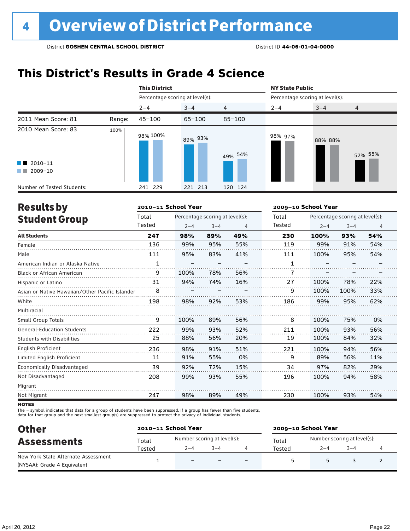### **This District's Results in Grade 4 Science**

|                                                                         |        | <b>This District</b>            |            |                | <b>NY State Public</b>          |         |                |  |
|-------------------------------------------------------------------------|--------|---------------------------------|------------|----------------|---------------------------------|---------|----------------|--|
|                                                                         |        | Percentage scoring at level(s): |            |                | Percentage scoring at level(s): |         |                |  |
|                                                                         |        | $2 - 4$                         | $3 - 4$    | $\overline{4}$ | $2 - 4$                         | $3 - 4$ | $\overline{4}$ |  |
| 2011 Mean Score: 81                                                     | Range: | $45 - 100$                      | $65 - 100$ | $85 - 100$     |                                 |         |                |  |
| 2010 Mean Score: 83<br>$\blacksquare$ 2010-11<br>$\blacksquare$ 2009-10 | 100%   | 98% 100%                        | 89% 93%    | 49% 54%        | 98% 97%                         | 88% 88% | 52% 55%        |  |
| Number of Tested Students:                                              |        | 241 229                         | 221 213    | 120 124        |                                 |         |                |  |

| <b>Results by</b>                               |        | 2010-11 School Year |                                 |     | 2009-10 School Year |                                 |         |                |
|-------------------------------------------------|--------|---------------------|---------------------------------|-----|---------------------|---------------------------------|---------|----------------|
| <b>Student Group</b>                            | Total  |                     | Percentage scoring at level(s): |     | Total               | Percentage scoring at level(s): |         |                |
|                                                 | Tested | $2 - 4$             | $3 - 4$                         | 4   | Tested              | $2 - 4$                         | $3 - 4$ | $\overline{4}$ |
| <b>All Students</b>                             | 247    | 98%                 | 89%                             | 49% | 230                 | 100%                            | 93%     | 54%            |
| Female                                          | 136    | 99%                 | 95%                             | 55% | 119                 | 99%                             | 91%     | 54%            |
| Male                                            | 111    | 95%                 | 83%                             | 41% | 111                 | 100%                            | 95%     | 54%            |
| American Indian or Alaska Native                | 1      |                     |                                 |     | 1                   |                                 |         |                |
| <b>Black or African American</b>                | 9      | 100%                | 78%                             | 56% | 7                   |                                 |         |                |
| Hispanic or Latino                              | 31     | 94%                 | 74%                             | 16% | 27                  | 100%                            | 78%     | 22%            |
| Asian or Native Hawaiian/Other Pacific Islander | 8      |                     |                                 |     | 9                   | 100%                            | 100%    | 33%            |
| White                                           | 198    | 98%                 | 92%                             | 53% | 186                 | 99%                             | 95%     | 62%            |
| Multiracial                                     |        |                     |                                 |     |                     |                                 |         |                |
| Small Group Totals                              | 9      | 100%                | 89%                             | 56% | 8                   | 100%                            | 75%     | 0%             |
| <b>General-Education Students</b>               | 222    | 99%                 | 93%                             | 52% | 211                 | 100%                            | 93%     | 56%            |
| Students with Disabilities                      | 25     | 88%                 | 56%                             | 20% | 19                  | 100%                            | 84%     | 32%            |
| <b>English Proficient</b>                       | 236    | 98%                 | 91%                             | 51% | 221                 | 100%                            | 94%     | 56%            |
| Limited English Proficient                      | 11     | 91%                 | 55%                             | 0%  | 9                   | 89%                             | 56%     | 11%            |
| Economically Disadvantaged                      | 39     | 92%                 | 72%                             | 15% | 34                  | 97%                             | 82%     | 29%            |
| Not Disadvantaged                               | 208    | 99%                 | 93%                             | 55% | 196                 | 100%                            | 94%     | 58%            |
| Migrant                                         |        |                     |                                 |     |                     |                                 |         |                |
| Not Migrant                                     | 247    | 98%                 | 89%                             | 49% | 230                 | 100%                            | 93%     | 54%            |

**NOTES** 

The – symbol indicates that data for a group of students have been suppressed. If a group has fewer than five students,<br>data for that group and the next smallest group(s) are suppressed to protect the privacy of individual

| <b>Other</b>                        |        | 2010-11 School Year      |                             | 2009-10 School Year |                             |      |  |  |
|-------------------------------------|--------|--------------------------|-----------------------------|---------------------|-----------------------------|------|--|--|
| <b>Assessments</b>                  | Total  |                          | Number scoring at level(s): | Total               | Number scoring at level(s): |      |  |  |
|                                     | Tested | $2 - 4$                  | $3 - 4$                     | Tested              | $2 - 4$                     | $-4$ |  |  |
| New York State Alternate Assessment |        | $\overline{\phantom{0}}$ |                             |                     |                             |      |  |  |
| (NYSAA): Grade 4 Equivalent         |        |                          |                             |                     |                             |      |  |  |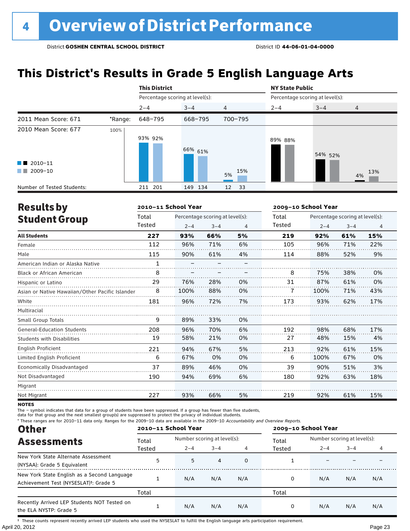### **This District's Results in Grade 5 English Language Arts**

|                            |         | <b>This District</b>            |         |                | <b>NY State Public</b> |                                 |                |  |
|----------------------------|---------|---------------------------------|---------|----------------|------------------------|---------------------------------|----------------|--|
|                            |         | Percentage scoring at level(s): |         |                |                        | Percentage scoring at level(s): |                |  |
|                            |         | $2 - 4$                         | $3 - 4$ | $\overline{4}$ | $2 - 4$                | $3 - 4$                         | $\overline{4}$ |  |
| 2011 Mean Score: 671       | *Range: | 648-795                         | 668-795 | 700-795        |                        |                                 |                |  |
| 2010 Mean Score: 677       | 100%    | 93% 92%                         | 66% 61% |                | 89% 88%                | 54% 52%                         |                |  |
| $\blacksquare$ 2010-11     |         |                                 |         |                |                        |                                 |                |  |
| 2009-10<br><b>The Co</b>   |         |                                 |         | 15%<br>5%      |                        |                                 | 13%<br>4%      |  |
| Number of Tested Students: |         | 211 201                         | 149 134 | 12<br>- 33     |                        |                                 |                |  |

| <b>Results by</b>                               |              | 2010-11 School Year |                                 |    | 2009-10 School Year |                                 |         |                |  |
|-------------------------------------------------|--------------|---------------------|---------------------------------|----|---------------------|---------------------------------|---------|----------------|--|
| <b>Student Group</b>                            | Total        |                     | Percentage scoring at level(s): |    | Total               | Percentage scoring at level(s): |         |                |  |
|                                                 | Tested       | $2 - 4$             | $3 - 4$                         | 4  | Tested              | $2 - 4$                         | $3 - 4$ | $\overline{4}$ |  |
| <b>All Students</b>                             | 227          | 93%                 | 66%                             | 5% | 219                 | 92%                             | 61%     | 15%            |  |
| Female                                          | 112          | 96%                 | 71%                             | 6% | 105                 | 96%                             | 71%     | 22%            |  |
| Male                                            | 115          | 90%                 | 61%                             | 4% | 114                 | 88%                             | 52%     | 9%             |  |
| American Indian or Alaska Native                | $\mathbf{1}$ |                     |                                 |    |                     |                                 |         |                |  |
| <b>Black or African American</b>                | 8            |                     |                                 |    | 8                   | 75%                             | 38%     | 0%             |  |
| Hispanic or Latino                              | 29           | 76%                 | 28%                             | 0% | 31                  | 87%                             | 61%     | 0%             |  |
| Asian or Native Hawaiian/Other Pacific Islander | 8            | 100%                | 88%                             | 0% |                     | 100%                            | 71%     | 43%            |  |
| White                                           | 181          | 96%                 | 72%                             | 7% | 173                 | 93%                             | 62%     | 17%            |  |
| Multiracial                                     |              |                     |                                 |    |                     |                                 |         |                |  |
| Small Group Totals                              | 9            | 89%                 | 33%                             | 0% |                     |                                 |         |                |  |
| <b>General-Education Students</b>               | 208          | 96%                 | 70%                             | 6% | 192                 | 98%                             | 68%     | 17%            |  |
| <b>Students with Disabilities</b>               | 19           | 58%                 | 21%                             | 0% | 27                  | 48%                             | 15%     | 4%             |  |
| English Proficient                              | 221          | 94%                 | 67%                             | 5% | 213                 | 92%                             | 61%     | 15%            |  |
| Limited English Proficient                      | 6            | 67%                 | 0%                              | 0% | 6                   | 100%                            | 67%     | 0%             |  |
| Economically Disadvantaged                      | 37           | 89%                 | 46%                             | 0% | 39                  | 90%                             | 51%     | 3%             |  |
| Not Disadvantaged                               | 190          | 94%                 | 69%                             | 6% | 180                 | 92%                             | 63%     | 18%            |  |
| Migrant                                         |              |                     |                                 |    |                     |                                 |         |                |  |
| Not Migrant                                     | 227          | 93%                 | 66%                             | 5% | 219                 | 92%                             | 61%     | 15%            |  |

**NOTES** 

The – symbol indicates that data for a group of students have been suppressed. If a group has fewer than five students,<br>data for that group and the next smallest group(s) are suppressed to protect the privacy of individual

\* These ranges are for 2010–11 data only. Ranges for the 2009–10 data are available in the 2009–10 Accountability and Overview Reports.

| <b>Other</b>                                                                                      |        | 2010-11 School Year |                             |     | 2009-10 School Year |                                                   |     |     |  |
|---------------------------------------------------------------------------------------------------|--------|---------------------|-----------------------------|-----|---------------------|---------------------------------------------------|-----|-----|--|
| <b>Assessments</b>                                                                                | Total  |                     | Number scoring at level(s): |     |                     | Number scoring at level(s):<br>$3 - 4$<br>$2 - 4$ |     |     |  |
|                                                                                                   | Tested | $2 - 4$             | $3 - 4$                     |     | Tested              |                                                   |     |     |  |
| New York State Alternate Assessment<br>(NYSAA): Grade 5 Equivalent                                | 5      | 5                   | 4                           | 0   |                     |                                                   |     |     |  |
| New York State English as a Second Language<br>Achievement Test (NYSESLAT) <sup>†</sup> : Grade 5 |        | N/A                 | N/A                         | N/A | 0                   | N/A                                               | N/A | N/A |  |
|                                                                                                   | Total  |                     |                             |     | Total               |                                                   |     |     |  |
| Recently Arrived LEP Students NOT Tested on<br>the ELA NYSTP: Grade 5                             |        | N/A                 | N/A                         | N/A | 0                   | N/A                                               | N/A | N/A |  |

April 20, 2012 Page 23 † These counts represent recently arrived LEP students who used the NYSESLAT to fulfill the English language arts participation requirement.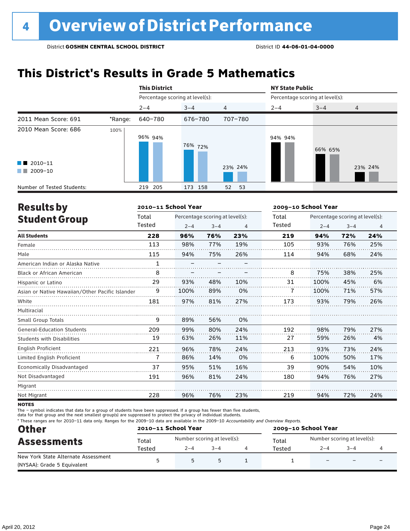### **This District's Results in Grade 5 Mathematics**

|                                                  |         | <b>This District</b>            |         |                | <b>NY State Public</b>          |         |                |  |
|--------------------------------------------------|---------|---------------------------------|---------|----------------|---------------------------------|---------|----------------|--|
|                                                  |         | Percentage scoring at level(s): |         |                | Percentage scoring at level(s): |         |                |  |
|                                                  |         | $2 - 4$                         | $3 - 4$ | $\overline{4}$ | $2 - 4$                         | $3 - 4$ | $\overline{4}$ |  |
| 2011 Mean Score: 691                             | *Range: | 640-780                         | 676-780 | 707-780        |                                 |         |                |  |
| 2010 Mean Score: 686                             | 100%    | 96% 94%                         | 76% 72% |                | 94% 94%                         | 66% 65% |                |  |
| $\blacksquare$ 2010-11<br>2009-10<br>a kacamatan |         |                                 |         | 23% 24%        |                                 |         | 23% 24%        |  |
| Number of Tested Students:                       |         | 219 205                         | 173 158 | 52<br>53       |                                 |         |                |  |

| <b>Results by</b>                               |              | 2010-11 School Year |                                 |                | 2009-10 School Year |                                 |         |                |
|-------------------------------------------------|--------------|---------------------|---------------------------------|----------------|---------------------|---------------------------------|---------|----------------|
| <b>Student Group</b>                            | Total        |                     | Percentage scoring at level(s): |                | Total               | Percentage scoring at level(s): |         |                |
|                                                 | Tested       | $2 - 4$             | $3 - 4$                         | $\overline{4}$ | Tested              | $2 - 4$                         | $3 - 4$ | $\overline{4}$ |
| <b>All Students</b>                             | 228          | 96%                 | 76%                             | 23%            | 219                 | 94%                             | 72%     | 24%            |
| Female                                          | 113          | 98%                 | 77%                             | 19%            | 105                 | 93%                             | 76%     | 25%            |
| Male                                            | 115          | 94%                 | 75%                             | 26%            | 114                 | 94%                             | 68%     | 24%            |
| American Indian or Alaska Native                | $\mathbf{1}$ |                     |                                 |                |                     |                                 |         |                |
| <b>Black or African American</b>                | 8            |                     |                                 |                | 8                   | 75%                             | 38%     | 25%            |
| Hispanic or Latino                              | 29           | 93%                 | 48%                             | 10%            | 31                  | 100%                            | 45%     | 6%             |
| Asian or Native Hawaiian/Other Pacific Islander | 9            | 100%                | 89%                             | 0%             |                     | 100%                            | 71%     | 57%            |
| White                                           | 181          | 97%                 | 81%                             | 27%            | 173                 | 93%                             | 79%     | 26%            |
| Multiracial                                     |              |                     |                                 |                |                     |                                 |         |                |
| <b>Small Group Totals</b>                       | 9            | 89%                 | 56%                             | 0%             |                     |                                 |         |                |
| <b>General-Education Students</b>               | 209          | 99%                 | 80%                             | 24%            | 192                 | 98%                             | 79%     | 27%            |
| <b>Students with Disabilities</b>               | 19           | 63%                 | 26%                             | 11%            | 27                  | 59%                             | 26%     | 4%             |
| English Proficient                              | 221          | 96%                 | 78%                             | 24%            | 213                 | 93%                             | 73%     | 24%            |
| Limited English Proficient                      | 7            | 86%                 | 14%                             | 0%             | 6                   | 100%                            | 50%     | 17%            |
| <b>Economically Disadvantaged</b>               | 37           | 95%                 | 51%                             | 16%            | 39                  | 90%                             | 54%     | 10%            |
| Not Disadvantaged                               | 191          | 96%                 | 81%                             | 24%            | 180                 | 94%                             | 76%     | 27%            |
| Migrant                                         |              |                     |                                 |                |                     |                                 |         |                |
| Not Migrant                                     | 228          | 96%                 | 76%                             | 23%            | 219                 | 94%                             | 72%     | 24%            |

**NOTES** 

The – symbol indicates that data for a group of students have been suppressed. If a group has fewer than five students,

data for that group and the next smallest group(s) are suppressed to protect the privacy of individual students.

\* These ranges are for 2010–11 data only. Ranges for the 2009–10 data are available in the 2009–10 Accountability and Overview Reports.

| <b>Other</b>                        |        | 2010-11 School Year |                             | 2009-10 School Year |                             |                          |                          |  |
|-------------------------------------|--------|---------------------|-----------------------------|---------------------|-----------------------------|--------------------------|--------------------------|--|
| <b>Assessments</b>                  | Total  |                     | Number scoring at level(s): | Total               | Number scoring at level(s): |                          |                          |  |
|                                     | Tested | $2 - 4$             | $3 - 4$                     | Tested              | $2 - 4$                     | $3 - 4$                  |                          |  |
| New York State Alternate Assessment |        | Б.                  |                             |                     |                             | $\overline{\phantom{0}}$ | $\overline{\phantom{0}}$ |  |
| (NYSAA): Grade 5 Equivalent         |        |                     |                             |                     |                             |                          |                          |  |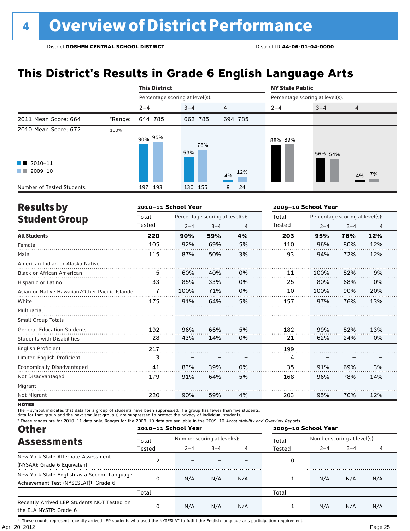### **This District's Results in Grade 6 English Language Arts**

|                                                                            |         | <b>This District</b>            |            |                | <b>NY State Public</b> |                                 |                |  |  |
|----------------------------------------------------------------------------|---------|---------------------------------|------------|----------------|------------------------|---------------------------------|----------------|--|--|
|                                                                            |         | Percentage scoring at level(s): |            |                |                        | Percentage scoring at level(s): |                |  |  |
|                                                                            |         | $2 - 4$                         | $3 - 4$    | $\overline{4}$ | $2 - 4$                | $3 - 4$                         | $\overline{4}$ |  |  |
| 2011 Mean Score: 664                                                       | *Range: | 644-785                         | 662-785    | 694-785        |                        |                                 |                |  |  |
| 2010 Mean Score: 672<br>$\blacksquare$ 2010-11<br>2009-10<br><b>The Co</b> | 100%    | 95%<br>90%                      | 76%<br>59% | 12%            | 88% 89%                | 56% 54%                         |                |  |  |
|                                                                            |         |                                 |            | 4%             |                        |                                 | 4% 7%          |  |  |
| Number of Tested Students:                                                 |         | 193<br>197                      | 130 155    | 9<br>24        |                        |                                 |                |  |  |

| <b>Results by</b>                               |        | 2010-11 School Year |                                 |    | 2009-10 School Year |                                 |         |                |  |
|-------------------------------------------------|--------|---------------------|---------------------------------|----|---------------------|---------------------------------|---------|----------------|--|
| <b>Student Group</b>                            | Total  |                     | Percentage scoring at level(s): |    | Total               | Percentage scoring at level(s): |         |                |  |
|                                                 | Tested | $2 - 4$             | $3 - 4$                         | 4  | Tested              | $2 - 4$                         | $3 - 4$ | $\overline{4}$ |  |
| <b>All Students</b>                             | 220    | 90%                 | 59%                             | 4% | 203                 | 95%                             | 76%     | 12%            |  |
| Female                                          | 105    | 92%                 | 69%                             | 5% | 110                 | 96%                             | 80%     | 12%            |  |
| Male                                            | 115    | 87%                 | 50%                             | 3% | 93                  | 94%                             | 72%     | 12%            |  |
| American Indian or Alaska Native                |        |                     |                                 |    |                     |                                 |         |                |  |
| <b>Black or African American</b>                | 5      | 60%                 | 40%                             | 0% | 11                  | 100%                            | 82%     | 9%             |  |
| Hispanic or Latino                              | 33     | 85%                 | 33%                             | 0% | 25                  | 80%                             | 68%     | 0%             |  |
| Asian or Native Hawaiian/Other Pacific Islander | 7      | 100%                | 71%                             | 0% | 10                  | 100%                            | 90%     | 20%            |  |
| White                                           | 175    | 91%                 | 64%                             | 5% | 157                 | 97%                             | 76%     | 13%            |  |
| Multiracial                                     |        |                     |                                 |    |                     |                                 |         |                |  |
| <b>Small Group Totals</b>                       |        |                     |                                 |    |                     |                                 |         |                |  |
| <b>General-Education Students</b>               | 192    | 96%                 | 66%                             | 5% | 182                 | 99%                             | 82%     | 13%            |  |
| <b>Students with Disabilities</b>               | 28     | 43%                 | 14%                             | 0% | 21                  | 62%                             | 24%     | 0%             |  |
| English Proficient                              | 217    |                     |                                 |    | 199                 |                                 |         |                |  |
| Limited English Proficient                      | 3      |                     |                                 |    | 4                   |                                 |         |                |  |
| <b>Economically Disadvantaged</b>               | 41     | 83%                 | 39%                             | 0% | 35                  | 91%                             | 69%     | 3%             |  |
| Not Disadvantaged                               | 179    | 91%                 | 64%                             | 5% | 168                 | 96%                             | 78%     | 14%            |  |
| Migrant                                         |        |                     |                                 |    |                     |                                 |         |                |  |
| Not Migrant                                     | 220    | 90%                 | 59%                             | 4% | 203                 | 95%                             | 76%     | 12%            |  |

**NOTES** 

The – symbol indicates that data for a group of students have been suppressed. If a group has fewer than five students,

data for that group and the next smallest group(s) are suppressed to protect the privacy of individual students.

\* These ranges are for 2010–11 data only. Ranges for the 2009–10 data are available in the 2009–10 Accountability and Overview Reports.

| <b>Other</b>                                                                                      | 2010-11 School Year |                             |         |     | 2009-10 School Year |                             |         |     |
|---------------------------------------------------------------------------------------------------|---------------------|-----------------------------|---------|-----|---------------------|-----------------------------|---------|-----|
| <b>Assessments</b>                                                                                | Total               | Number scoring at level(s): |         |     | Total               | Number scoring at level(s): |         |     |
|                                                                                                   | Tested              | $2 - 4$                     | $3 - 4$ |     | Tested              | $2 - 4$                     | $3 - 4$ |     |
| New York State Alternate Assessment<br>(NYSAA): Grade 6 Equivalent                                |                     |                             |         |     | 0                   |                             |         |     |
| New York State English as a Second Language<br>Achievement Test (NYSESLAT) <sup>†</sup> : Grade 6 |                     | N/A                         | N/A     | N/A |                     | N/A                         | N/A     | N/A |
|                                                                                                   | Total               |                             |         |     | Total               |                             |         |     |
| Recently Arrived LEP Students NOT Tested on<br>the ELA NYSTP: Grade 6                             |                     | N/A                         | N/A     | N/A |                     | N/A                         | N/A     | N/A |

April 20, 2012 Page 25 † These counts represent recently arrived LEP students who used the NYSESLAT to fulfill the English language arts participation requirement.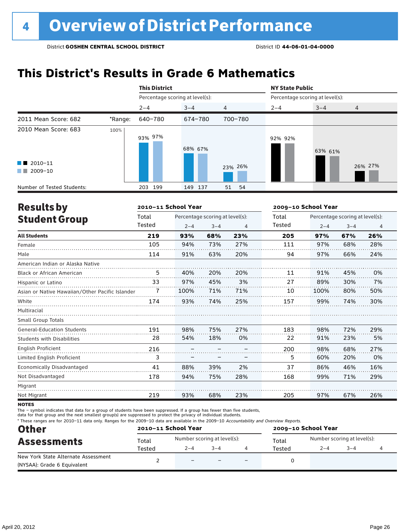### **This District's Results in Grade 6 Mathematics**

|                                                    |         | <b>This District</b>            |         |                | <b>NY State Public</b>          |         |                |  |
|----------------------------------------------------|---------|---------------------------------|---------|----------------|---------------------------------|---------|----------------|--|
|                                                    |         | Percentage scoring at level(s): |         |                | Percentage scoring at level(s): |         |                |  |
|                                                    |         | $2 - 4$                         | $3 - 4$ | $\overline{4}$ | $2 - 4$                         | $3 - 4$ | $\overline{4}$ |  |
| 2011 Mean Score: 682                               | *Range: | 640-780                         | 674-780 | 700-780        |                                 |         |                |  |
| 2010 Mean Score: 683                               | 100%    | 93% 97%                         | 68% 67% |                | 92% 92%                         | 63% 61% |                |  |
| $\blacksquare$ 2010-11<br>2009-10<br><b>The Co</b> |         |                                 |         | 23% 26%        |                                 |         | 26% 27%        |  |
| Number of Tested Students:                         |         | 199<br>203                      | 149 137 | 51<br>54       |                                 |         |                |  |

| <b>Results by</b>                               |        | 2010-11 School Year |                                 |     | 2009-10 School Year |         |                                 |                |
|-------------------------------------------------|--------|---------------------|---------------------------------|-----|---------------------|---------|---------------------------------|----------------|
| <b>Student Group</b>                            | Total  |                     | Percentage scoring at level(s): |     | Total               |         | Percentage scoring at level(s): |                |
|                                                 | Tested | $2 - 4$             | $3 - 4$                         | 4   | Tested              | $2 - 4$ | $3 - 4$                         | $\overline{4}$ |
| <b>All Students</b>                             | 219    | 93%                 | 68%                             | 23% | 205                 | 97%     | 67%                             | 26%            |
| Female                                          | 105    | 94%                 | 73%                             | 27% | 111                 | 97%     | 68%                             | 28%            |
| Male                                            | 114    | 91%                 | 63%                             | 20% | 94                  | 97%     | 66%                             | 24%            |
| American Indian or Alaska Native                |        |                     |                                 |     |                     |         |                                 |                |
| <b>Black or African American</b>                | 5      | 40%                 | 20%                             | 20% | 11                  | 91%     | 45%                             | 0%             |
| Hispanic or Latino                              | 33     | 97%                 | 45%                             | 3%  | 27                  | 89%     | 30%                             | 7%             |
| Asian or Native Hawaiian/Other Pacific Islander | 7      | 100%                | 71%                             | 71% | 10                  | 100%    | 80%                             | 50%            |
| White                                           | 174    | 93%                 | 74%                             | 25% | 157                 | 99%     | 74%                             | 30%            |
| Multiracial                                     |        |                     |                                 |     |                     |         |                                 |                |
| <b>Small Group Totals</b>                       |        |                     |                                 |     |                     |         |                                 |                |
| <b>General-Education Students</b>               | 191    | 98%                 | 75%                             | 27% | 183                 | 98%     | 72%                             | 29%            |
| <b>Students with Disabilities</b>               | 28     | 54%                 | 18%                             | 0%  | 22                  | 91%     | 23%                             | 5%             |
| English Proficient                              | 216    |                     |                                 |     | 200                 | 98%     | 68%                             | 27%            |
| Limited English Proficient                      | 3      |                     |                                 |     | 5                   | 60%     | 20%                             | 0%             |
| Economically Disadvantaged                      | 41     | 88%                 | 39%                             | 2%  | 37                  | 86%     | 46%                             | 16%            |
| Not Disadvantaged                               | 178    | 94%                 | 75%                             | 28% | 168                 | 99%     | 71%                             | 29%            |
| Migrant                                         |        |                     |                                 |     |                     |         |                                 |                |
| Not Migrant                                     | 219    | 93%                 | 68%                             | 23% | 205                 | 97%     | 67%                             | 26%            |
| 100000                                          |        |                     |                                 |     |                     |         |                                 |                |

**NOTES** 

The – symbol indicates that data for a group of students have been suppressed. If a group has fewer than five students,

data for that group and the next smallest group(s) are suppressed to protect the privacy of individual students.

\* These ranges are for 2010–11 data only. Ranges for the 2009–10 data are available in the 2009–10 Accountability and Overview Reports.

| <b>Other</b>                                                       | 2010-11 School Year |                          |                             |                          | 2009-10 School Year |                             |         |  |  |
|--------------------------------------------------------------------|---------------------|--------------------------|-----------------------------|--------------------------|---------------------|-----------------------------|---------|--|--|
| <b>Assessments</b>                                                 | Total               |                          | Number scoring at level(s): |                          | Total               | Number scoring at level(s): |         |  |  |
|                                                                    | Tested              | $2 - 4$                  | $3 - 4$                     |                          | Tested              | $2 - 4$                     | $3 - 4$ |  |  |
| New York State Alternate Assessment<br>(NYSAA): Grade 6 Equivalent |                     | $\overline{\phantom{0}}$ |                             | $\overline{\phantom{0}}$ |                     |                             |         |  |  |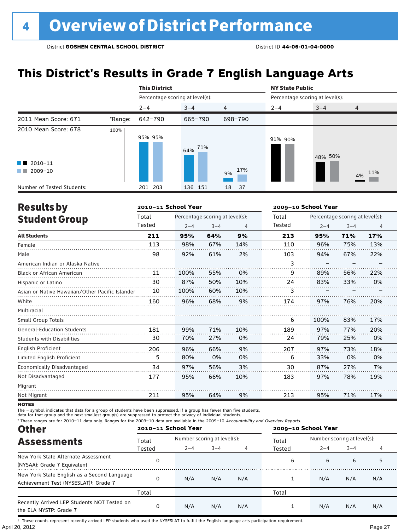### **This District's Results in Grade 7 English Language Arts**

|                                                  |         | <b>This District</b>            |         |                | <b>NY State Public</b> |                                 |                |  |  |
|--------------------------------------------------|---------|---------------------------------|---------|----------------|------------------------|---------------------------------|----------------|--|--|
|                                                  |         | Percentage scoring at level(s): |         |                |                        | Percentage scoring at level(s): |                |  |  |
|                                                  |         | $2 - 4$                         | $3 - 4$ | $\overline{4}$ | $2 - 4$                | $3 - 4$                         | $\overline{4}$ |  |  |
| 2011 Mean Score: 671                             | *Range: | 642-790                         | 665-790 | 698-790        |                        |                                 |                |  |  |
| 2010 Mean Score: 678                             | 100%    | 95% 95%                         | 64% 71% |                | 91% 90%                | 48% 50%                         |                |  |  |
| $\blacksquare$ 2010-11<br>2009-10<br>a kacamatan |         |                                 |         | 17%<br>9%      |                        |                                 | 4% 11%         |  |  |
| Number of Tested Students:                       |         | 201 203                         | 136 151 | 18<br>-37      |                        |                                 |                |  |  |

| <b>Results by</b>                               |        | 2010-11 School Year |                                 |     | 2009-10 School Year |         |                                 |                |
|-------------------------------------------------|--------|---------------------|---------------------------------|-----|---------------------|---------|---------------------------------|----------------|
| <b>Student Group</b>                            | Total  |                     | Percentage scoring at level(s): |     | Total               |         | Percentage scoring at level(s): |                |
|                                                 | Tested | $2 - 4$             | $3 - 4$                         | 4   | Tested              | $2 - 4$ | $3 - 4$                         | $\overline{4}$ |
| <b>All Students</b>                             | 211    | 95%                 | 64%                             | 9%  | 213                 | 95%     | 71%                             | 17%            |
| Female                                          | 113    | 98%                 | 67%                             | 14% | 110                 | 96%     | 75%                             | 13%            |
| Male                                            | 98     | 92%                 | 61%                             | 2%  | 103                 | 94%     | 67%                             | 22%            |
| American Indian or Alaska Native                |        |                     |                                 |     | 3                   |         |                                 |                |
| <b>Black or African American</b>                | 11     | 100%                | 55%                             | 0%  | 9                   | 89%     | 56%                             | 22%            |
| Hispanic or Latino                              | 30     | 87%                 | 50%                             | 10% | 24                  | 83%     | 33%                             | 0%             |
| Asian or Native Hawaiian/Other Pacific Islander | 10     | 100%                | 60%                             | 10% | 3                   |         |                                 |                |
| White                                           | 160    | 96%                 | 68%                             | 9%  | 174                 | 97%     | 76%                             | 20%            |
| Multiracial                                     |        |                     |                                 |     |                     |         |                                 |                |
| Small Group Totals                              |        |                     |                                 |     | 6                   | 100%    | 83%                             | 17%            |
| <b>General-Education Students</b>               | 181    | 99%                 | 71%                             | 10% | 189                 | 97%     | 77%                             | 20%            |
| <b>Students with Disabilities</b>               | 30     | 70%                 | 27%                             | 0%  | 24                  | 79%     | 25%                             | 0%             |
| English Proficient                              | 206    | 96%                 | 66%                             | 9%  | 207                 | 97%     | 73%                             | 18%            |
| Limited English Proficient                      | 5      | 80%                 | 0%                              | 0%  | 6                   | 33%     | 0%                              | 0%             |
| Economically Disadvantaged                      | 34     | 97%                 | 56%                             | 3%  | 30                  | 87%     | 27%                             | 7%             |
| Not Disadvantaged                               | 177    | 95%                 | 66%                             | 10% | 183                 | 97%     | 78%                             | 19%            |
| Migrant                                         |        |                     |                                 |     |                     |         |                                 |                |
| Not Migrant                                     | 211    | 95%                 | 64%                             | 9%  | 213                 | 95%     | 71%                             | 17%            |

**NOTES** 

The – symbol indicates that data for a group of students have been suppressed. If a group has fewer than five students,

data for that group and the next smallest group(s) are suppressed to protect the privacy of individual students.

\* These ranges are for 2010–11 data only. Ranges for the 2009–10 data are available in the 2009–10 Accountability and Overview Reports.

| <b>Other</b>                                                                                      | 2010-11 School Year |                             |         |     | 2009-10 School Year |                             |         |     |  |
|---------------------------------------------------------------------------------------------------|---------------------|-----------------------------|---------|-----|---------------------|-----------------------------|---------|-----|--|
| <b>Assessments</b>                                                                                | Total               | Number scoring at level(s): |         |     | Total               | Number scoring at level(s): |         |     |  |
|                                                                                                   | Tested              | $2 - 4$                     | $3 - 4$ |     | Tested              | $2 - 4$                     | $3 - 4$ |     |  |
| New York State Alternate Assessment<br>(NYSAA): Grade 7 Equivalent                                |                     |                             |         |     | 6                   | 6                           | 6       | 5   |  |
| New York State English as a Second Language<br>Achievement Test (NYSESLAT) <sup>t</sup> : Grade 7 |                     | N/A                         | N/A     | N/A |                     | N/A                         | N/A     | N/A |  |
|                                                                                                   | Total               |                             |         |     | Total               |                             |         |     |  |
| Recently Arrived LEP Students NOT Tested on<br>the ELA NYSTP: Grade 7                             |                     | N/A                         | N/A     | N/A |                     | N/A                         | N/A     | N/A |  |

April 20, 2012 Page 27 † These counts represent recently arrived LEP students who used the NYSESLAT to fulfill the English language arts participation requirement.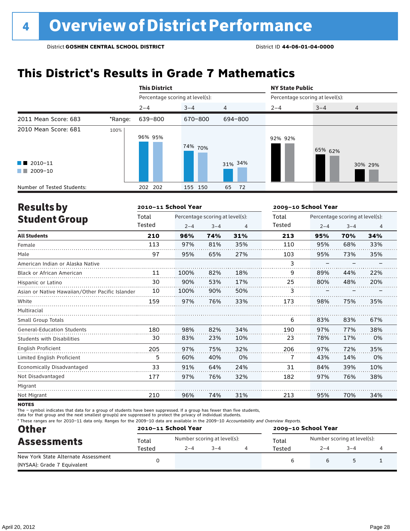### **This District's Results in Grade 7 Mathematics**

|                                                                                                                                                                                                                                                                           |         | <b>This District</b>            |         |                | <b>NY State Public</b>          |         |         |  |
|---------------------------------------------------------------------------------------------------------------------------------------------------------------------------------------------------------------------------------------------------------------------------|---------|---------------------------------|---------|----------------|---------------------------------|---------|---------|--|
|                                                                                                                                                                                                                                                                           |         | Percentage scoring at level(s): |         |                | Percentage scoring at level(s): |         |         |  |
|                                                                                                                                                                                                                                                                           |         | $2 - 4$                         | $3 - 4$ | $\overline{4}$ | $2 - 4$                         | $3 - 4$ | 4       |  |
| 2011 Mean Score: 683                                                                                                                                                                                                                                                      | *Range: | 639-800                         | 670-800 | 694-800        |                                 |         |         |  |
| 2010 Mean Score: 681                                                                                                                                                                                                                                                      | 100%    | 96% 95%                         | 74% 70% |                | 92% 92%                         | 65% 62% |         |  |
| $\blacksquare$ 2010-11<br>2009-10<br><b>The Contract of the Contract of the Contract of the Contract of the Contract of the Contract of the Contract of the Contract of the Contract of the Contract of the Contract of the Contract of The Contract of The Contract </b> |         |                                 |         | 31% 34%        |                                 |         | 30% 29% |  |
| Number of Tested Students:                                                                                                                                                                                                                                                |         | 202 202                         | 155 150 | 65<br>72       |                                 |         |         |  |

| <b>Results by</b>                               |        | 2010-11 School Year |                                 |                | 2009-10 School Year |         |                                 |     |
|-------------------------------------------------|--------|---------------------|---------------------------------|----------------|---------------------|---------|---------------------------------|-----|
| <b>Student Group</b>                            | Total  |                     | Percentage scoring at level(s): |                | Total               |         | Percentage scoring at level(s): |     |
|                                                 | Tested | $2 - 4$             | $3 - 4$                         | $\overline{4}$ | Tested              | $2 - 4$ | $3 - 4$                         | 4   |
| <b>All Students</b>                             | 210    | 96%                 | 74%                             | 31%            | 213                 | 95%     | 70%                             | 34% |
| Female                                          | 113    | 97%                 | 81%                             | 35%            | 110                 | 95%     | 68%                             | 33% |
| Male                                            | 97     | 95%                 | 65%                             | 27%            | 103                 | 95%     | 73%                             | 35% |
| American Indian or Alaska Native                |        |                     |                                 |                | 3                   |         |                                 |     |
| <b>Black or African American</b>                | 11     | 100%                | 82%                             | 18%            | 9                   | 89%     | 44%                             | 22% |
| Hispanic or Latino                              | 30     | 90%                 | 53%                             | 17%            | 25                  | 80%     | 48%                             | 20% |
| Asian or Native Hawaiian/Other Pacific Islander | 10     | 100%                | 90%                             | 50%            | 3                   |         |                                 |     |
| White                                           | 159    | 97%                 | 76%                             | 33%            | 173                 | 98%     | 75%                             | 35% |
| Multiracial                                     |        |                     |                                 |                |                     |         |                                 |     |
| <b>Small Group Totals</b>                       |        |                     |                                 |                | 6                   | 83%     | 83%                             | 67% |
| <b>General-Education Students</b>               | 180    | 98%                 | 82%                             | 34%            | 190                 | 97%     | 77%                             | 38% |
| <b>Students with Disabilities</b>               | 30     | 83%                 | 23%                             | 10%            | 23                  | 78%     | 17%                             | 0%  |
| <b>English Proficient</b>                       | 205    | 97%                 | 75%                             | 32%            | 206                 | 97%     | 72%                             | 35% |
| Limited English Proficient                      | 5      | 60%                 | 40%                             | 0%             | 7                   | 43%     | 14%                             | 0%  |
| Economically Disadvantaged                      | 33     | 91%                 | 64%                             | 24%            | 31                  | 84%     | 39%                             | 10% |
| Not Disadvantaged                               | 177    | 97%                 | 76%                             | 32%            | 182                 | 97%     | 76%                             | 38% |
| Migrant                                         |        |                     |                                 |                |                     |         |                                 |     |
| Not Migrant                                     | 210    | 96%                 | 74%                             | 31%            | 213                 | 95%     | 70%                             | 34% |

**NOTES** 

The – symbol indicates that data for a group of students have been suppressed. If a group has fewer than five students,<br>data for that group and the next smallest group(s) are suppressed to protect the privacy of individual

\* These ranges are for 2010–11 data only. Ranges for the 2009–10 data are available in the 2009–10 Accountability and Overview Reports.

| <b>Other</b>                        |        | 2010-11 School Year |                             | 2009-10 School Year |                             |        |  |  |
|-------------------------------------|--------|---------------------|-----------------------------|---------------------|-----------------------------|--------|--|--|
| <b>Assessments</b>                  | Total  |                     | Number scoring at level(s): | Total               | Number scoring at level(s): |        |  |  |
|                                     | Tested | $2 - 4$             | $3 - 4$                     | Tested              | $2 - 4$                     | $-3-4$ |  |  |
| New York State Alternate Assessment |        |                     |                             |                     |                             |        |  |  |
| (NYSAA): Grade 7 Equivalent         |        |                     |                             |                     |                             |        |  |  |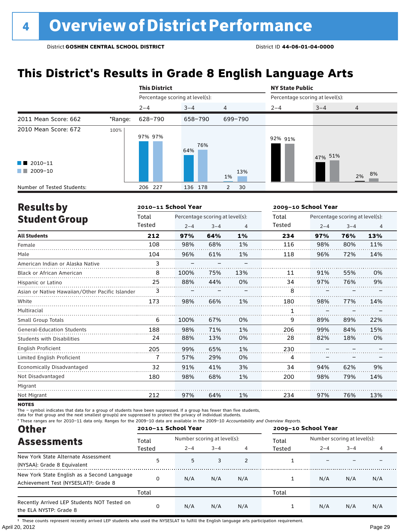### **This District's Results in Grade 8 English Language Arts**

|                                                                                                                                                                                                                                                                                                   |         | <b>This District</b>            |            |                      | <b>NY State Public</b>          |         |                |  |
|---------------------------------------------------------------------------------------------------------------------------------------------------------------------------------------------------------------------------------------------------------------------------------------------------|---------|---------------------------------|------------|----------------------|---------------------------------|---------|----------------|--|
|                                                                                                                                                                                                                                                                                                   |         | Percentage scoring at level(s): |            |                      | Percentage scoring at level(s): |         |                |  |
|                                                                                                                                                                                                                                                                                                   |         | $2 - 4$                         | $3 - 4$    | $\overline{4}$       | $2 - 4$                         | $3 - 4$ | $\overline{4}$ |  |
| 2011 Mean Score: 662                                                                                                                                                                                                                                                                              | *Range: | 628-790                         | 658-790    | 699-790              |                                 |         |                |  |
| 2010 Mean Score: 672<br>$\blacksquare$ 2010-11<br>2009-10<br><b>The Contract of the Contract of the Contract of the Contract of the Contract of the Contract of the Contract of the Contract of the Contract of the Contract of the Contract of the Contract of The Contract of The Contract </b> | 100%    | 97% 97%                         | 76%<br>64% | 13%                  | 92% 91%                         | 47% 51% |                |  |
|                                                                                                                                                                                                                                                                                                   |         |                                 |            | 1%                   |                                 |         | 2% 8%          |  |
| Number of Tested Students:                                                                                                                                                                                                                                                                        |         | 206 227                         | 136 178    | 30<br>$\overline{2}$ |                                 |         |                |  |

| <b>Results by</b>                               |        | 2010-11 School Year |                                 |     | 2009-10 School Year |         |                                 |                |
|-------------------------------------------------|--------|---------------------|---------------------------------|-----|---------------------|---------|---------------------------------|----------------|
| <b>Student Group</b>                            | Total  |                     | Percentage scoring at level(s): |     | Total               |         | Percentage scoring at level(s): |                |
|                                                 | Tested | $2 - 4$             | $3 - 4$                         | 4   | Tested              | $2 - 4$ | $3 - 4$                         | $\overline{4}$ |
| <b>All Students</b>                             | 212    | 97%                 | 64%                             | 1%  | 234                 | 97%     | 76%                             | 13%            |
| Female                                          | 108    | 98%                 | 68%                             | 1%  | 116                 | 98%     | 80%                             | 11%            |
| Male                                            | 104    | 96%                 | 61%                             | 1%  | 118                 | 96%     | 72%                             | 14%            |
| American Indian or Alaska Native                | 3      |                     |                                 |     |                     |         |                                 |                |
| <b>Black or African American</b>                | 8      | 100%                | 75%                             | 13% | 11                  | 91%     | 55%                             | 0%             |
| Hispanic or Latino                              | 25     | 88%                 | 44%                             | 0%  | 34                  | 97%     | 76%                             | 9%             |
| Asian or Native Hawaiian/Other Pacific Islander | 3      |                     |                                 |     | 8                   |         |                                 |                |
| White                                           | 173    | 98%                 | 66%                             | 1%  | 180                 | 98%     | 77%                             | 14%            |
| Multiracial                                     |        |                     |                                 |     | 1                   |         |                                 |                |
| Small Group Totals                              | 6      | 100%                | 67%                             | 0%  | 9                   | 89%     | 89%                             | 22%            |
| <b>General-Education Students</b>               | 188    | 98%                 | 71%                             | 1%  | 206                 | 99%     | 84%                             | 15%            |
| <b>Students with Disabilities</b>               | 24     | 88%                 | 13%                             | 0%  | 28                  | 82%     | 18%                             | 0%             |
| English Proficient                              | 205    | 99%                 | 65%                             | 1%  | 230                 |         |                                 |                |
| Limited English Proficient                      | 7      | 57%                 | 29%                             | 0%  | 4                   |         |                                 |                |
| Economically Disadvantaged                      | 32     | 91%                 | 41%                             | 3%  | 34                  | 94%     | 62%                             | 9%             |
| Not Disadvantaged                               | 180    | 98%                 | 68%                             | 1%  | 200                 | 98%     | 79%                             | 14%            |
| Migrant                                         |        |                     |                                 |     |                     |         |                                 |                |
| Not Migrant                                     | 212    | 97%                 | 64%                             | 1%  | 234                 | 97%     | 76%                             | 13%            |

**NOTES** 

The – symbol indicates that data for a group of students have been suppressed. If a group has fewer than five students,<br>data for that group and the next smallest group(s) are suppressed to protect the privacy of individual

\* These ranges are for 2010–11 data only. Ranges for the 2009–10 data are available in the 2009–10 Accountability and Overview Reports.

| <b>Other</b>                                                                                      |          | 2010-11 School Year |                             |     | 2009-10 School Year |                             |         |     |
|---------------------------------------------------------------------------------------------------|----------|---------------------|-----------------------------|-----|---------------------|-----------------------------|---------|-----|
| <b>Assessments</b>                                                                                | Total    |                     | Number scoring at level(s): |     |                     | Number scoring at level(s): |         |     |
|                                                                                                   | Tested   | $2 - 4$             | $3 - 4$                     |     | Tested              | $2 - 4$                     | $3 - 4$ |     |
| New York State Alternate Assessment<br>(NYSAA): Grade 8 Equivalent                                | 5        | 5                   | 3                           | 2   |                     |                             |         |     |
| New York State English as a Second Language<br>Achievement Test (NYSESLAT) <sup>†</sup> : Grade 8 | $\Omega$ | N/A                 | N/A                         | N/A |                     | N/A                         | N/A     | N/A |
|                                                                                                   | Total    |                     |                             |     | Total               |                             |         |     |
| Recently Arrived LEP Students NOT Tested on<br>the ELA NYSTP: Grade 8                             | 0        | N/A                 | N/A                         | N/A |                     | N/A                         | N/A     | N/A |

April 20, 2012 Page 29 † These counts represent recently arrived LEP students who used the NYSESLAT to fulfill the English language arts participation requirement.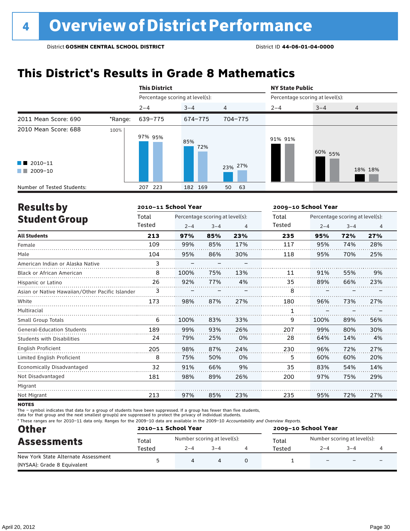### **This District's Results in Grade 8 Mathematics**

|                                                    |         | <b>This District</b>            |            |                | <b>NY State Public</b>          |         |                |  |
|----------------------------------------------------|---------|---------------------------------|------------|----------------|---------------------------------|---------|----------------|--|
|                                                    |         | Percentage scoring at level(s): |            |                | Percentage scoring at level(s): |         |                |  |
|                                                    |         | $2 - 4$                         | $3 - 4$    | $\overline{4}$ | $2 - 4$                         | $3 - 4$ | $\overline{4}$ |  |
| 2011 Mean Score: 690                               | *Range: | 639-775                         | 674-775    | 704-775        |                                 |         |                |  |
| 2010 Mean Score: 688                               | 100%    | 97% 95%                         | 85%<br>72% |                | 91% 91%                         | 60% 55% |                |  |
| $\blacksquare$ 2010-11<br>2009-10<br><b>The Co</b> |         |                                 |            | 23% 27%        |                                 |         | 18% 18%        |  |
| Number of Tested Students:                         |         | 223<br>207                      | 182 169    | 50<br>63       |                                 |         |                |  |

| <b>Results by</b>                               |        | 2010-11 School Year |                                 |     | 2009-10 School Year |                                 |         |     |  |
|-------------------------------------------------|--------|---------------------|---------------------------------|-----|---------------------|---------------------------------|---------|-----|--|
| <b>Student Group</b>                            | Total  |                     | Percentage scoring at level(s): |     | Total               | Percentage scoring at level(s): |         |     |  |
|                                                 | Tested | $2 - 4$             | $3 - 4$                         | 4   | Tested              | $2 - 4$                         | $3 - 4$ | 4   |  |
| <b>All Students</b>                             | 213    | 97%                 | 85%                             | 23% | 235                 | 95%                             | 72%     | 27% |  |
| Female                                          | 109    | 99%                 | 85%                             | 17% | 117                 | 95%                             | 74%     | 28% |  |
| Male                                            | 104    | 95%                 | 86%                             | 30% | 118                 | 95%                             | 70%     | 25% |  |
| American Indian or Alaska Native                | 3      |                     |                                 |     |                     |                                 |         |     |  |
| <b>Black or African American</b>                | 8      | 100%                | 75%                             | 13% | 11                  | 91%                             | 55%     | 9%  |  |
| Hispanic or Latino                              | 26     | 92%                 | 77%                             | 4%  | 35                  | 89%                             | 66%     | 23% |  |
| Asian or Native Hawaiian/Other Pacific Islander | 3      |                     |                                 |     | 8                   |                                 |         |     |  |
| White                                           | 173    | 98%                 | 87%                             | 27% | 180                 | 96%                             | 73%     | 27% |  |
| Multiracial                                     |        |                     |                                 |     | 1                   |                                 |         |     |  |
| Small Group Totals                              | 6      | 100%                | 83%                             | 33% | 9                   | 100%                            | 89%     | 56% |  |
| <b>General-Education Students</b>               | 189    | 99%                 | 93%                             | 26% | 207                 | 99%                             | 80%     | 30% |  |
| <b>Students with Disabilities</b>               | 24     | 79%                 | 25%                             | 0%  | 28                  | 64%                             | 14%     | 4%  |  |
| English Proficient                              | 205    | 98%                 | 87%                             | 24% | 230                 | 96%                             | 72%     | 27% |  |
| Limited English Proficient                      | 8      | 75%                 | 50%                             | 0%  | 5                   | 60%                             | 60%     | 20% |  |
| Economically Disadvantaged                      | 32     | 91%                 | 66%                             | 9%  | 35                  | 83%                             | 54%     | 14% |  |
| Not Disadvantaged                               | 181    | 98%                 | 89%                             | 26% | 200                 | 97%                             | 75%     | 29% |  |
| Migrant                                         |        |                     |                                 |     |                     |                                 |         |     |  |
| Not Migrant                                     | 213    | 97%                 | 85%                             | 23% | 235                 | 95%                             | 72%     | 27% |  |

**NOTES** 

The – symbol indicates that data for a group of students have been suppressed. If a group has fewer than five students,

data for that group and the next smallest group(s) are suppressed to protect the privacy of individual students.

\* These ranges are for 2010–11 data only. Ranges for the 2009–10 data are available in the 2009–10 Accountability and Overview Reports.

| <b>Other</b><br><b>Assessments</b>  |        | 2010-11 School Year         |         | 2009-10 School Year |                             |         |   |  |
|-------------------------------------|--------|-----------------------------|---------|---------------------|-----------------------------|---------|---|--|
|                                     | Total  | Number scoring at level(s): |         | Total               | Number scoring at level(s): |         |   |  |
|                                     | Tested | $2 - 4$                     | $3 - 4$ | Tested              | $2 - 4$                     | $3 - 4$ |   |  |
| New York State Alternate Assessment |        |                             | 4       |                     |                             |         | - |  |
| (NYSAA): Grade 8 Equivalent         |        |                             |         |                     |                             |         |   |  |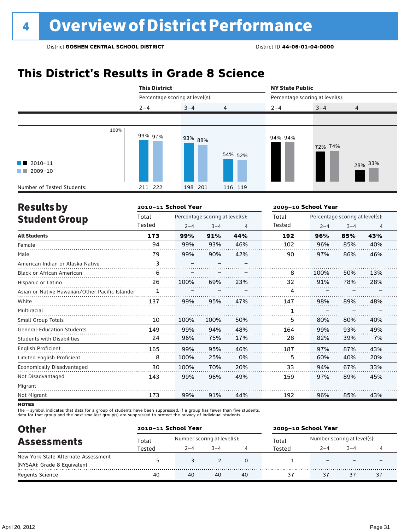### **This District's Results in Grade 8 Science**

|                                                  | <b>This District</b> |                                 |                | <b>NY State Public</b> |                                 |                |
|--------------------------------------------------|----------------------|---------------------------------|----------------|------------------------|---------------------------------|----------------|
|                                                  |                      | Percentage scoring at level(s): |                |                        | Percentage scoring at level(s): |                |
|                                                  | $2 - 4$              | $3 - 4$                         | $\overline{4}$ | $2 - 4$                | $3 - 4$                         | $\overline{4}$ |
|                                                  |                      |                                 |                |                        |                                 |                |
| $\blacksquare$ 2010-11<br>$\blacksquare$ 2009-10 | 100%<br>99% 97%      | 93% 88%                         | 54% 52%        | 94% 94%                | 72% 74%                         | 28% 33%        |
| Number of Tested Students:                       | 211 222              | 198 201                         | 116 119        |                        |                                 |                |

| <b>Results by</b>                               |        | 2010-11 School Year |                                 |     | 2009-10 School Year |                                 |         |     |  |
|-------------------------------------------------|--------|---------------------|---------------------------------|-----|---------------------|---------------------------------|---------|-----|--|
| <b>Student Group</b>                            | Total  |                     | Percentage scoring at level(s): |     |                     | Percentage scoring at level(s): |         |     |  |
|                                                 | Tested | $2 - 4$             | $3 - 4$                         | 4   | Tested              | $2 - 4$                         | $3 - 4$ | 4   |  |
| <b>All Students</b>                             | 173    | 99%                 | 91%                             | 44% | 192                 | 96%                             | 85%     | 43% |  |
| Female                                          | 94     | 99%                 | 93%                             | 46% | 102                 | 96%                             | 85%     | 40% |  |
| Male                                            | 79     | 99%                 | 90%                             | 42% | 90                  | 97%                             | 86%     | 46% |  |
| American Indian or Alaska Native                | 3      |                     |                                 |     |                     |                                 |         |     |  |
| <b>Black or African American</b>                | 6      |                     |                                 |     | 8                   | 100%                            | 50%     | 13% |  |
| Hispanic or Latino                              | 26     | 100%                | 69%                             | 23% | 32                  | 91%                             | 78%     | 28% |  |
| Asian or Native Hawaiian/Other Pacific Islander | 1      |                     |                                 |     | 4                   |                                 |         |     |  |
| White                                           | 137    | 99%                 | 95%                             | 47% | 147                 | 98%                             | 89%     | 48% |  |
| Multiracial                                     |        |                     |                                 |     | 1                   |                                 |         |     |  |
| <b>Small Group Totals</b>                       | 10     | 100%                | 100%                            | 50% | 5                   | 80%                             | 80%     | 40% |  |
| <b>General-Education Students</b>               | 149    | 99%                 | 94%                             | 48% | 164                 | 99%                             | 93%     | 49% |  |
| <b>Students with Disabilities</b>               | 24     | 96%                 | 75%                             | 17% | 28                  | 82%                             | 39%     | 7%  |  |
| English Proficient                              | 165    | 99%                 | 95%                             | 46% | 187                 | 97%                             | 87%     | 43% |  |
| Limited English Proficient                      | 8      | 100%                | 25%                             | 0%  | 5                   | 60%                             | 40%     | 20% |  |
| Economically Disadvantaged                      | 30     | 100%                | 70%                             | 20% | 33                  | 94%                             | 67%     | 33% |  |
| Not Disadvantaged                               | 143    | 99%                 | 96%                             | 49% | 159                 | 97%                             | 89%     | 45% |  |
| Migrant                                         |        |                     |                                 |     |                     |                                 |         |     |  |
| Not Migrant                                     | 173    | 99%                 | 91%                             | 44% | 192                 | 96%                             | 85%     | 43% |  |
|                                                 |        |                     |                                 |     |                     |                                 |         |     |  |

**NOTES** 

The – symbol indicates that data for a group of students have been suppressed. If a group has fewer than five students,<br>data for that group and the next smallest group(s) are suppressed to protect the privacy of individual

| <b>Other</b>                        |        | 2010-11 School Year         |         |    | 2009-10 School Year |                             |        |    |  |
|-------------------------------------|--------|-----------------------------|---------|----|---------------------|-----------------------------|--------|----|--|
| <b>Assessments</b>                  | Total  | Number scoring at level(s): |         |    | Total<br>Tested     | Number scoring at level(s): |        |    |  |
|                                     | Tested | $2 - 4$                     | $3 - 4$ |    |                     | $2 - 4$                     | $-3-4$ |    |  |
| New York State Alternate Assessment |        |                             |         |    |                     |                             |        |    |  |
| (NYSAA): Grade 8 Equivalent         |        |                             |         |    |                     |                             |        |    |  |
| <b>Regents Science</b>              | 40     | 40                          | 40      | 40 |                     | 37                          | 37     | 37 |  |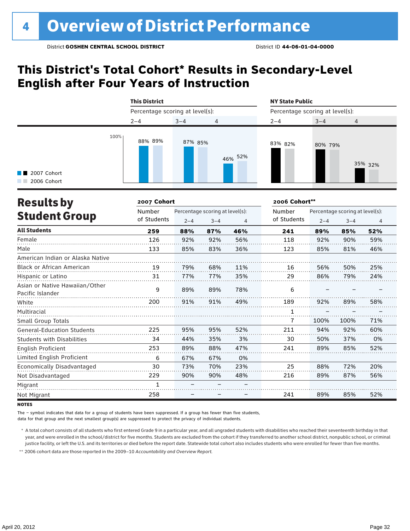### **This District's Total Cohort\* Results in Secondary-Level English after Four Years of Instruction**



| <b>Results by</b>                                  | 2007 Cohort |                                 |         |     | 2006 Cohort** |                                 |         |     |  |
|----------------------------------------------------|-------------|---------------------------------|---------|-----|---------------|---------------------------------|---------|-----|--|
|                                                    | Number      | Percentage scoring at level(s): |         |     | Number        | Percentage scoring at level(s): |         |     |  |
| <b>Student Group</b>                               | of Students | $2 - 4$                         | $3 - 4$ | 4   | of Students   | $2 - 4$                         | $3 - 4$ | 4   |  |
| <b>All Students</b>                                | 259         | 88%                             | 87%     | 46% | 241           | 89%                             | 85%     | 52% |  |
| Female                                             | 126         | 92%                             | 92%     | 56% | 118           | 92%                             | 90%     | 59% |  |
| Male                                               | 133         | 85%                             | 83%     | 36% | 123           | 85%                             | 81%     | 46% |  |
| American Indian or Alaska Native                   |             |                                 |         |     |               |                                 |         |     |  |
| <b>Black or African American</b>                   | 19          | 79%                             | 68%     | 11% | 16            | 56%                             | 50%     | 25% |  |
| Hispanic or Latino                                 | 31          | 77%                             | 77%     | 35% | 29            | 86%                             | 79%     | 24% |  |
| Asian or Native Hawaiian/Other<br>Pacific Islander | 9           | 89%                             | 89%     | 78% | 6             |                                 |         |     |  |
| White                                              | 200         | 91%                             | 91%     | 49% | 189           | 92%                             | 89%     | 58% |  |
| Multiracial                                        |             |                                 |         |     | 1             |                                 |         |     |  |
| Small Group Totals                                 |             |                                 |         |     | 7             | 100%                            | 100%    | 71% |  |
| <b>General-Education Students</b>                  | 225         | 95%                             | 95%     | 52% | 211           | 94%                             | 92%     | 60% |  |
| <b>Students with Disabilities</b>                  | 34          | 44%                             | 35%     | 3%  | 30            | 50%                             | 37%     | 0%  |  |
| English Proficient                                 | 253         | 89%                             | 88%     | 47% | 241           | 89%                             | 85%     | 52% |  |
| Limited English Proficient                         | 6           | 67%                             | 67%     | 0%  |               |                                 |         |     |  |
| Economically Disadvantaged                         | 30          | 73%                             | 70%     | 23% | 25            | 88%                             | 72%     | 20% |  |
| Not Disadvantaged                                  | 229         | 90%                             | 90%     | 48% | 216           | 89%                             | 87%     | 56% |  |
| Migrant                                            | 1           |                                 |         |     |               |                                 |         |     |  |
| Not Migrant                                        | 258         |                                 |         |     | 241           | 89%                             | 85%     | 52% |  |

**NOTES** 

The – symbol indicates that data for a group of students have been suppressed. If a group has fewer than five students,

data for that group and the next smallest group(s) are suppressed to protect the privacy of individual students.

\* A total cohort consists of all students who first entered Grade 9 in a particular year, and all ungraded students with disabilities who reached their seventeenth birthday in that year, and were enrolled in the school/district for five months. Students are excluded from the cohort if they transferred to another school district, nonpublic school, or criminal justice facility, or left the U.S. and its territories or died before the report date. Statewide total cohort also includes students who were enrolled for fewer than five months.

\*\* 2006 cohort data are those reported in the 2009–10 *Accountability and Overview Report*.